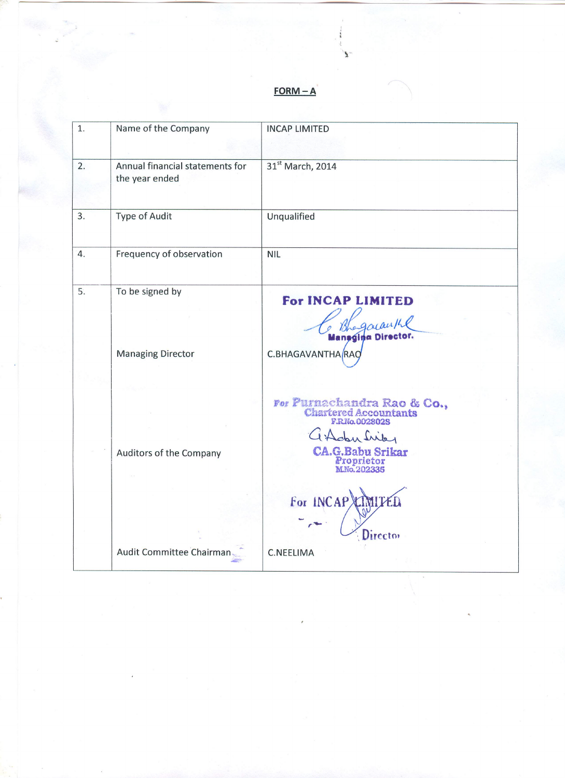# $FORM-A$ </u>

| 1.               | Name of the Company                               | <b>INCAP LIMITED</b>                                                                                                                                         |
|------------------|---------------------------------------------------|--------------------------------------------------------------------------------------------------------------------------------------------------------------|
|                  |                                                   |                                                                                                                                                              |
| 2.               | Annual financial statements for<br>the year ended | 31 <sup>st</sup> March, 2014                                                                                                                                 |
| 3.               | <b>Type of Audit</b>                              | Unqualified                                                                                                                                                  |
| $\overline{4}$ . | Frequency of observation                          | <b>NIL</b>                                                                                                                                                   |
| 5.               | To be signed by                                   | <b>For INCAP LIMITED</b><br>egarauth<br>Dir                                                                                                                  |
|                  | <b>Managing Director</b>                          | C.BHAGAVANTHA/RAQ                                                                                                                                            |
|                  | Auditors of the Company                           | <b>For Purnachandra Rao &amp; Co.,</b><br>Chartered Accountants<br>FRNo.0028028<br>a Adon Siley<br><b>CA.G.Babu Srikar</b><br>Proprietor<br>For INCAP IMITED |
|                  | Audit Committee Chairma                           | Director<br><b>C.NEELIMA</b>                                                                                                                                 |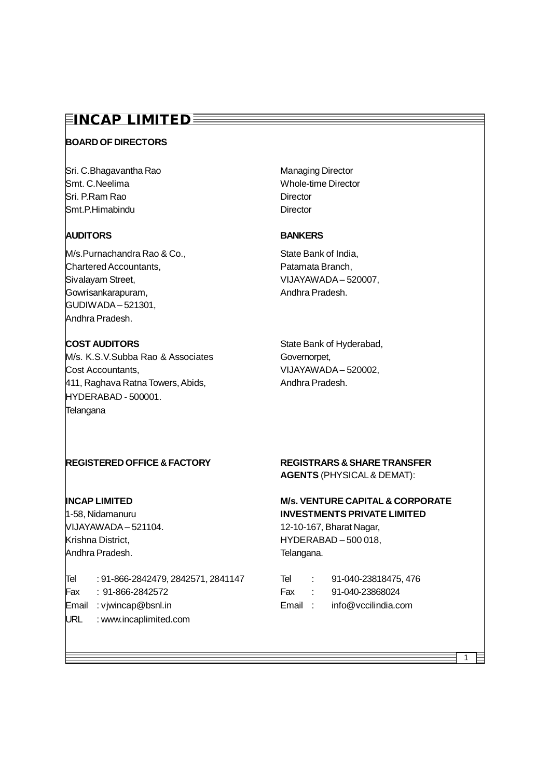### **BOARD OF DIRECTORS**

Sri. C.Bhagavantha Rao **Managing Director Smt. C.Neelima** Whole-time Director Sri. P.Ram Rao **Director** Smt.P.Himabindu Director

### **AUDITORS BANKERS**

M/s.Purnachandra Rao & Co., State Bank of India, Chartered Accountants, extending the Patamata Branch, Sivalayam Street, VIJAYAWADA – 520007, Gowrisankarapuram, and the control of the Andhra Pradesh. GUDIWADA– 521301, Andhra Pradesh.

**COST AUDITORS** State Bank of Hyderabad, M/s. K.S.V.Subba Rao & Associates Governorpet, Cost Accountants, VIJAYAWADA– 520002, 411, Raghava Ratna Towers, Abids, Andhra Pradesh. HYDERABAD - 500001. Telangana

Andhra Pradesh. Telangana.

Tel : 91-866-2842479, 2842571, 2841147 Fax : 91-866-2842572  $Email : vjwincap@bsnl.in$  $Email : vjwincap@bsnl.in$ URL : [www.incaplimited.com](http://www.incaplimited.com)

**REGISTERED OFFICE &FACTORY REGISTRARS & SHARETRANSFER AGENTS** (PHYSICAL& DEMAT):

**INCAP LIMITED M/s. VENTURE CAPITAL & CORPORATE** 1-58, Nidamanuru **INVESTMENTS PRIVATE LIMITED** VIJAYAWADA– 521104. 12-10-167, Bharat Nagar, Krishna District, **HYDERABAD** – 500 018,

 $\overline{1}$ 

| Tel   | $\blacksquare$ | 91-040-23818475.476 |
|-------|----------------|---------------------|
| Fax   |                | 91-040-23868024     |
| Email |                | info@vccilindia.com |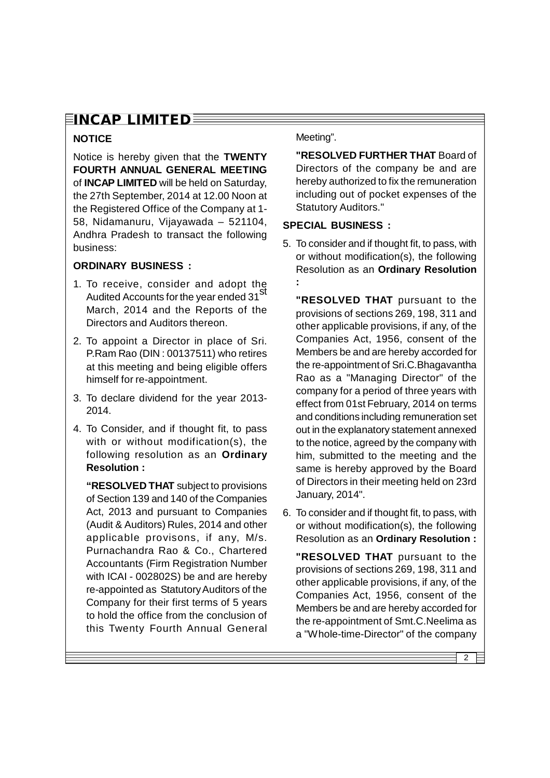# **NOTICE**

Notice is hereby given that the **TWENTY FOURTH ANNUAL GENERAL MEETING** of **INCAP LIMITED** will be held on Saturday, the 27th September, 2014 at 12.00 Noon at the Registered Office of the Company at 1- 58, Nidamanuru, Vijayawada – 521104, Andhra Pradesh to transact the following business:

### **ORDINARY BUSINESS :**

- 1. To receive, consider and adopt the Audited Accounts for the year ended 31<sup>st</sup> March, 2014 and the Reports of the Directors and Auditors thereon.
- 2. To appoint a Director in place of Sri. P.Ram Rao (DIN : 00137511) who retires at this meeting and being eligible offers himself for re-appointment.
- 3. To declare dividend for the year 2013- 2014.
- 4. To Consider, and if thought fit, to pass with or without modification(s), the following resolution as an **Ordinary Resolution :**

**"RESOLVED THAT** subject to provisions of Section 139 and 140 of the Companies Act, 2013 and pursuant to Companies (Audit & Auditors) Rules, 2014 and other applicable provisons, if any, M/s. Purnachandra Rao & Co., Chartered Accountants (Firm Registration Number with ICAI - 002802S) be and are hereby re-appointed as StatutoryAuditors of the Company for their first terms of 5 years to hold the office from the conclusion of this Twenty Fourth Annual General Meeting".

**"RESOLVED FURTHER THAT** Board of Directors of the company be and are hereby authorized to fix the remuneration including out of pocket expenses of the Statutory Auditors."

### **SPECIAL BUSINESS :**

5. To consider and if thought fit, to pass, with or without modification(s), the following Resolution as an **Ordinary Resolution :**

**"RESOLVED THAT** pursuant to the provisions of sections 269, 198, 311 and other applicable provisions, if any, of the Companies Act, 1956, consent of the Members be and are hereby accorded for the re-appointment of Sri.C.Bhagavantha Rao as a "Managing Director" of the company for a period of three years with effect from 01st February, 2014 on terms and conditions including remuneration set out in the explanatory statement annexed to the notice, agreed by the company with him, submitted to the meeting and the same is hereby approved by the Board of Directors in their meeting held on 23rd January, 2014".

6. To consider and if thought fit, to pass, with or without modification(s), the following Resolution as an **Ordinary Resolution :**

**"RESOLVED THAT** pursuant to the provisions of sections 269, 198, 311 and other applicable provisions, if any, of the Companies Act, 1956, consent of the Members be and are hereby accorded for the re-appointment of Smt.C.Neelima as a "Whole-time-Director" of the company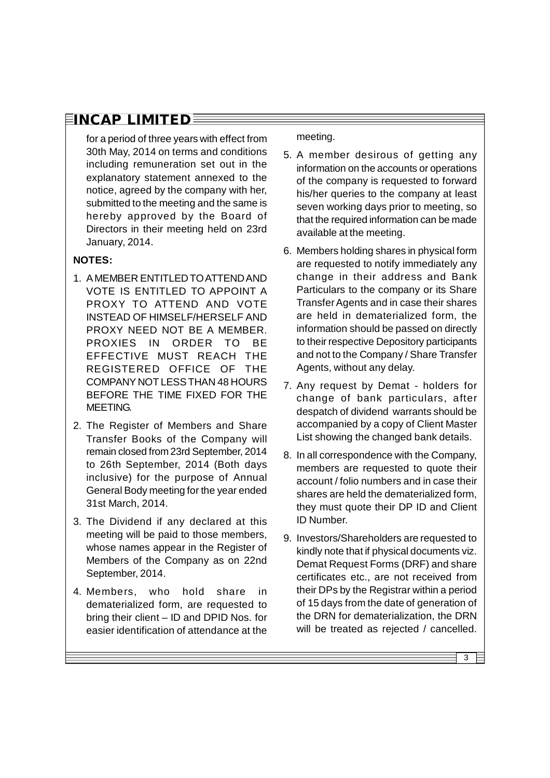for a period of three years with effect from 30th May, 2014 on terms and conditions including remuneration set out in the explanatory statement annexed to the notice, agreed by the company with her, submitted to the meeting and the same is hereby approved by the Board of Directors in their meeting held on 23rd January, 2014.

# **NOTES:**

- 1. A MEMBER ENTITLED TO ATTEND AND VOTE IS ENTITLED TO APPOINT A PROXY TO ATTEND AND VOTE INSTEAD OF HIMSELF/HERSELF AND PROXY NEED NOT BE A MEMBER. PROXIES IN ORDER TO BE EFFECTIVE MUST REACH THE REGISTERED OFFICE OF THE COMPANY NOT LESS THAN 48 HOURS BEFORE THE TIME FIXED FOR THE MEETING.
- 2. The Register of Members and Share Transfer Books of the Company will remain closed from 23rd September, 2014 to 26th September, 2014 (Both days inclusive) for the purpose of Annual General Body meeting for the year ended 31st March, 2014.
- 3. The Dividend if any declared at this meeting will be paid to those members, whose names appear in the Register of Members of the Company as on 22nd September, 2014.
- 4. Members, who hold share in dematerialized form, are requested to bring their client – ID and DPID Nos. for easier identification of attendance at the

meeting.

- 5. A member desirous of getting any information on the accounts or operations of the company is requested to forward his/her queries to the company at least seven working days prior to meeting, so that the required information can be made available at the meeting.
- 6. Members holding shares in physical form are requested to notify immediately any change in their address and Bank Particulars to the company or its Share TransferAgents and in case their shares are held in dematerialized form, the information should be passed on directly to their respective Depository participants and not to the Company / Share Transfer Agents, without any delay.
- 7. Any request by Demat holders for change of bank particulars, after despatch of dividend warrants should be accompanied by a copy of Client Master List showing the changed bank details.
- 8. In all correspondence with the Company, members are requested to quote their account / folio numbers and in case their shares are held the dematerialized form, they must quote their DP ID and Client ID Number.
- 9. Investors/Shareholders are requested to kindly note that if physical documents viz. Demat Request Forms (DRF) and share certificates etc., are not received from their DPs by the Registrar within a period of 15 days from the date of generation of the DRN for dematerialization, the DRN will be treated as rejected / cancelled.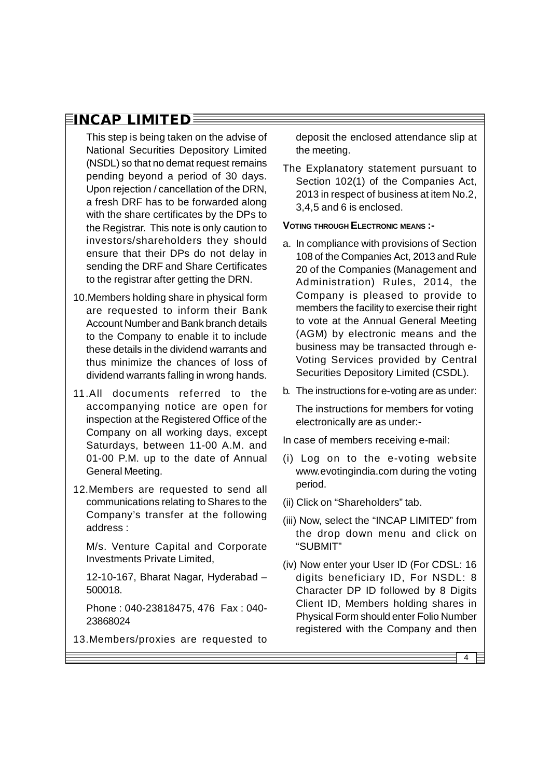This step is being taken on the advise of National Securities Depository Limited (NSDL) so that no demat request remains pending beyond a period of 30 days. Upon rejection / cancellation of the DRN, a fresh DRF has to be forwarded along with the share certificates by the DPs to the Registrar. This note is only caution to investors/shareholders they should ensure that their DPs do not delay in sending the DRF and Share Certificates to the registrar after getting the DRN.

- 10.Members holding share in physical form are requested to inform their Bank Account Number and Bank branch details to the Company to enable it to include these details in the dividend warrants and thus minimize the chances of loss of dividend warrants falling in wrong hands.
- 11.All documents referred to the accompanying notice are open for inspection at the Registered Office of the Company on all working days, except Saturdays, between 11-00 A.M. and 01-00 P.M. up to the date of Annual General Meeting.
- 12.Members are requested to send all communications relating to Shares to the Company's transfer at the following address :

M/s. Venture Capital and Corporate Investments Private Limited,

12-10-167, Bharat Nagar, Hyderabad – 500018.

Phone : 040-23818475, 476 Fax : 040- 23868024

13.Members/proxies are requested to

deposit the enclosed attendance slip at the meeting.

The Explanatory statement pursuant to Section 102(1) of the Companies Act, 2013 in respect of business at item No.2, 3,4,5 and 6 is enclosed.

#### **VOTING THROUGH ELECTRONIC MEANS :-**

- a. In compliance with provisions of Section 108 of the Companies Act, 2013 and Rule 20 of the Companies (Management and Administration) Rules, 2014, the Company is pleased to provide to members the facility to exercise their right to vote at the Annual General Meeting (AGM) by electronic means and the business may be transacted through e-Voting Services provided by Central Securities Depository Limited (CSDL).
- b. The instructions for e-voting are as under:

The instructions for members for voting electronically are as under:-

- In case of members receiving e-mail:
- (i) Log on to the e-voting website [www.evotingindia.com](http://www.evotingindia.com) during the voting period.
- (ii) Click on "Shareholders" tab.
- (iii) Now, select the "INCAP LIMITED" from the drop down menu and click on "SUBMIT"
- (iv) Now enter your User ID (For CDSL: 16 digits beneficiary ID, For NSDL: 8 Character DP ID followed by 8 Digits Client ID, Members holding shares in Physical Form should enter Folio Number registered with the Company and then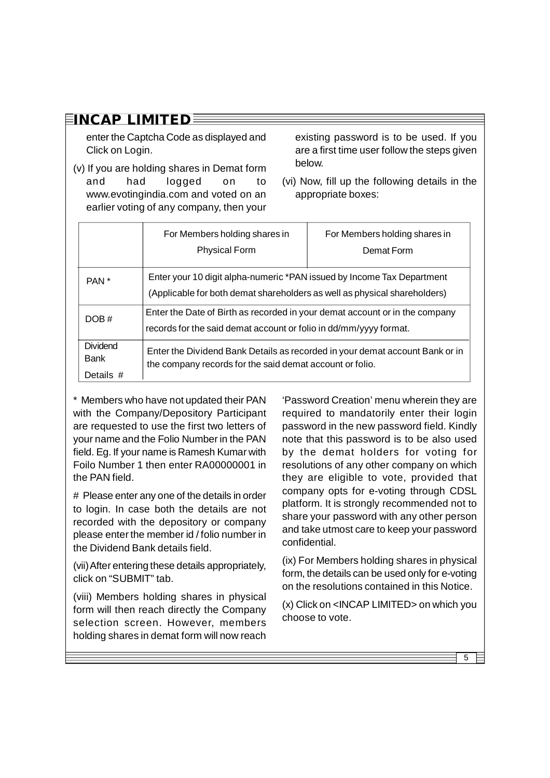enter the Captcha Code as displayed and Click on Login.

(v) If you are holding shares in Demat form and had logged on to [www.evotingindia.com](http://www.evotingindia.com) and voted on an earlier voting of any company, then your

existing password is to be used. If you are a first time user follow the steps given below.

(vi) Now, fill up the following details in the appropriate boxes:

|                                      | For Members holding shares in<br><b>Physical Form</b>                                                                                               | For Members holding shares in<br>Demat Form |  |  |  |
|--------------------------------------|-----------------------------------------------------------------------------------------------------------------------------------------------------|---------------------------------------------|--|--|--|
| PAN <sup>*</sup>                     | Enter your 10 digit alpha-numeric *PAN issued by Income Tax Department<br>(Applicable for both demat shareholders as well as physical shareholders) |                                             |  |  |  |
| DOB#                                 | Enter the Date of Birth as recorded in your demat account or in the company<br>records for the said demat account or folio in dd/mm/yyyy format.    |                                             |  |  |  |
| <b>Dividend</b><br>Bank<br>Details # | Enter the Dividend Bank Details as recorded in your demat account Bank or in<br>the company records for the said demat account or folio.            |                                             |  |  |  |

\* Members who have not updated their PAN with the Company/Depository Participant are requested to use the first two letters of your name and the Folio Number in the PAN field. Eg. If your name is Ramesh Kumar with Foilo Number 1 then enter RA00000001 in the PAN field.

# Please enter any one of the details in order to login. In case both the details are not recorded with the depository or company please enter the member id / folio number in the Dividend Bank details field.

(vii)After entering these details appropriately, click on "SUBMIT" tab.

(viii) Members holding shares in physical form will then reach directly the Company selection screen. However, members holding shares in demat form will now reach

'Password Creation' menu wherein they are required to mandatorily enter their login password in the new password field. Kindly note that this password is to be also used by the demat holders for voting for resolutions of any other company on which they are eligible to vote, provided that company opts for e-voting through CDSL platform. It is strongly recommended not to share your password with any other person and take utmost care to keep your password confidential.

(ix) For Members holding shares in physical form, the details can be used only for e-voting on the resolutions contained in this Notice.

(x) Click on <INCAP LIMITED> on which you choose to vote.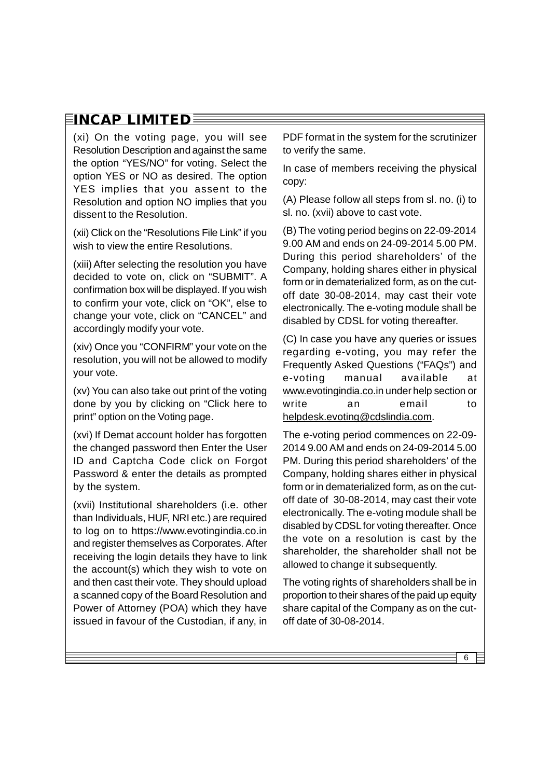(xi) On the voting page, you will see Resolution Description and against the same the option "YES/NO" for voting. Select the option YES or NO as desired. The option YES implies that you assent to the Resolution and option NO implies that you dissent to the Resolution.

(xii) Click on the "Resolutions File Link" if you wish to view the entire Resolutions.

(xiii) After selecting the resolution you have decided to vote on, click on "SUBMIT". A confirmation box will be displayed. If you wish to confirm your vote, click on "OK", else to change your vote, click on "CANCEL" and accordingly modify your vote.

(xiv) Once you "CONFIRM" your vote on the resolution, you will not be allowed to modify your vote.

(xv) You can also take out print of the voting done by you by clicking on "Click here to print" option on the Voting page.

(xvi) If Demat account holder has forgotten the changed password then Enter the User ID and Captcha Code click on Forgot Password & enter the details as prompted by the system.

(xvii) Institutional shareholders (i.e. other than Individuals, HUF, NRI etc.) are required to log on to <https://www.evotingindia.co.in> and register themselves as Corporates. After receiving the login details they have to link the account(s) which they wish to vote on and then cast their vote. They should upload a scanned copy of the Board Resolution and Power of Attorney (POA) which they have issued in favour of the Custodian, if any, in

PDF format in the system for the scrutinizer to verify the same.

In case of members receiving the physical copy:

(A) Please follow all steps from sl. no. (i) to sl. no. (xvii) above to cast vote.

(B) The voting period begins on 22-09-2014 9.00 AM and ends on 24-09-2014 5.00 PM. During this period shareholders' of the Company, holding shares either in physical form or in dematerialized form, as on the cutoff date 30-08-2014, may cast their vote electronically. The e-voting module shall be disabled by CDSL for voting thereafter.

(C) In case you have any queries or issues regarding e-voting, you may refer the Frequently Asked Questions ("FAQs") and e-voting manual available at [www.evotingindia.co.in](http://www.evotingindia.co.in) under help section or write an email to [helpdesk.evoting@cdslindia.com.](mailto:helpdesk.evoting@cdslindia.com.)

The e-voting period commences on 22-09- 2014 9.00 AM and ends on 24-09-2014 5.00 PM. During this period shareholders' of the Company, holding shares either in physical form or in dematerialized form, as on the cutoff date of 30-08-2014, may cast their vote electronically. The e-voting module shall be disabled by CDSLfor voting thereafter. Once the vote on a resolution is cast by the shareholder, the shareholder shall not be allowed to change it subsequently.

The voting rights of shareholders shall be in proportion to their shares of the paid up equity share capital of the Company as on the cutoff date of 30-08-2014.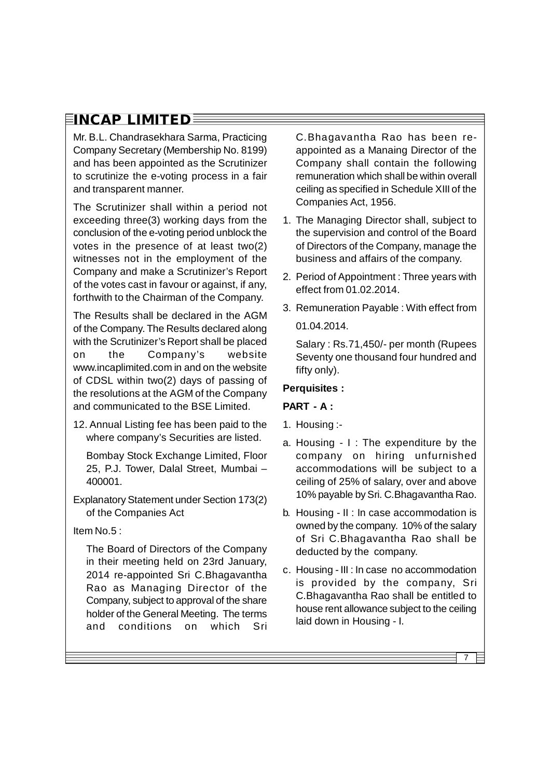Mr. B.L. Chandrasekhara Sarma, Practicing Company Secretary (Membership No. 8199) and has been appointed as the Scrutinizer to scrutinize the e-voting process in a fair and transparent manner.

The Scrutinizer shall within a period not exceeding three(3) working days from the conclusion of the e-voting period unblock the votes in the presence of at least two(2) witnesses not in the employment of the Company and make a Scrutinizer's Report of the votes cast in favour or against, if any, forthwith to the Chairman of the Company.

The Results shall be declared in the AGM of the Company. The Results declared along with the Scrutinizer's Report shall be placed on the Company's website [www.incaplimited.com](http://www.incaplimited.com) in and on the website of CDSL within two(2) days of passing of the resolutions at the AGM of the Company and communicated to the BSE Limited.

12. Annual Listing fee has been paid to the where company's Securities are listed.

Bombay Stock Exchange Limited, Floor 25, P.J. Tower, Dalal Street, Mumbai – 400001.

Explanatory Statement under Section 173(2) of the Companies Act

Item No.5 :

The Board of Directors of the Company in their meeting held on 23rd January, 2014 re-appointed Sri C.Bhagavantha Rao as Managing Director of the Company, subject to approval of the share holder of the General Meeting. The terms and conditions on which Sri

C.Bhagavantha Rao has been reappointed as a Manaing Director of the Company shall contain the following remuneration which shall be within overall ceiling as specified in Schedule XIII of the Companies Act, 1956.

- 1. The Managing Director shall, subject to the supervision and control of the Board of Directors of the Company, manage the business and affairs of the company.
- 2. Period of Appointment : Three years with effect from 01.02.2014.
- 3. Remuneration Payable : With effect from 01.04.2014.

Salary : Rs.71,450/- per month (Rupees Seventy one thousand four hundred and fifty only).

### **Perquisites :**

# **PART - A :**

- 1. Housing :-
- a. Housing I : The expenditure by the company on hiring unfurnished accommodations will be subject to a ceiling of 25% of salary, over and above 10% payable bySri. C.Bhagavantha Rao.
- b. Housing II : In case accommodation is owned by the company. 10% of the salary of Sri C.Bhagavantha Rao shall be deducted by the company.
- c. Housing III : In case no accommodation is provided by the company, Sri C.Bhagavantha Rao shall be entitled to house rent allowance subject to the ceiling laid down in Housing - I.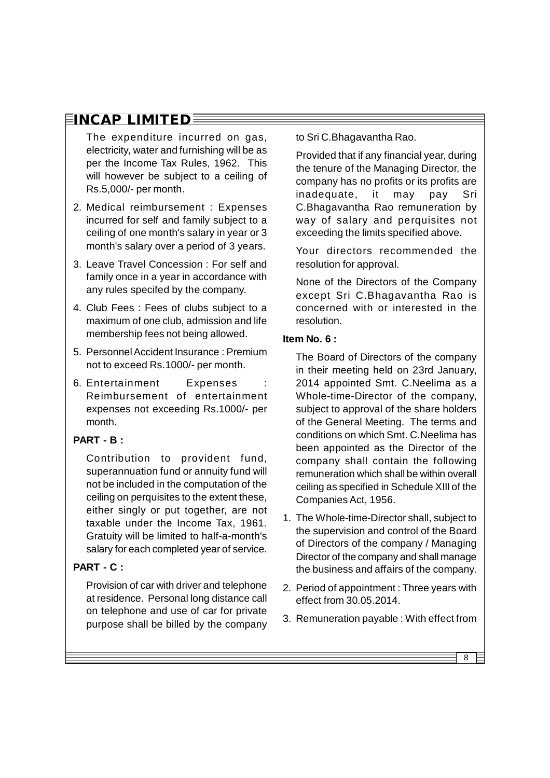The expenditure incurred on gas, electricity, water and furnishing will be as per the Income Tax Rules, 1962. This will however be subject to a ceiling of Rs.5,000/- per month.

- 2. Medical reimbursement : Expenses incurred for self and family subject to a ceiling of one month's salary in year or 3 month's salary over a period of 3 years.
- 3. Leave Travel Concession : For self and family once in a year in accordance with any rules specifed by the company.
- 4. Club Fees : Fees of clubs subject to a maximum of one club, admission and life membership fees not being allowed.
- 5. PersonnelAccident Insurance : Premium not to exceed Rs.1000/- per month.
- 6. Entertainment Expenses Reimbursement of entertainment expenses not exceeding Rs.1000/- per month.

### **PART - B :**

Contribution to provident fund, superannuation fund or annuity fund will not be included in the computation of the ceiling on perquisites to the extent these, either singly or put together, are not taxable under the Income Tax, 1961. Gratuity will be limited to half-a-month's salary for each completed year of service.

# **PART - C :**

Provision of car with driver and telephone at residence. Personal long distance call on telephone and use of car for private purpose shall be billed by the company to Sri C.Bhagavantha Rao.

Provided that if any financial year, during the tenure of the Managing Director, the company has no profits or its profits are inadequate, it may pay Sri C.Bhagavantha Rao remuneration by way of salary and perquisites not exceeding the limits specified above.

Your directors recommended the resolution for approval.

None of the Directors of the Company except Sri C.Bhagavantha Rao is concerned with or interested in the resolution.

### **Item No. 6 :**

The Board of Directors of the company in their meeting held on 23rd January, 2014 appointed Smt. C.Neelima as a Whole-time-Director of the company, subject to approval of the share holders of the General Meeting. The terms and conditions on which Smt. C.Neelima has been appointed as the Director of the company shall contain the following remuneration which shall be within overall ceiling as specified in Schedule XIII of the Companies Act, 1956.

- 1. The Whole-time-Director shall, subject to the supervision and control of the Board of Directors of the company / Managing Director of the company and shall manage the business and affairs of the company.
- 2. Period of appointment : Three years with effect from 30.05.2014.
- 3. Remuneration payable : With effect from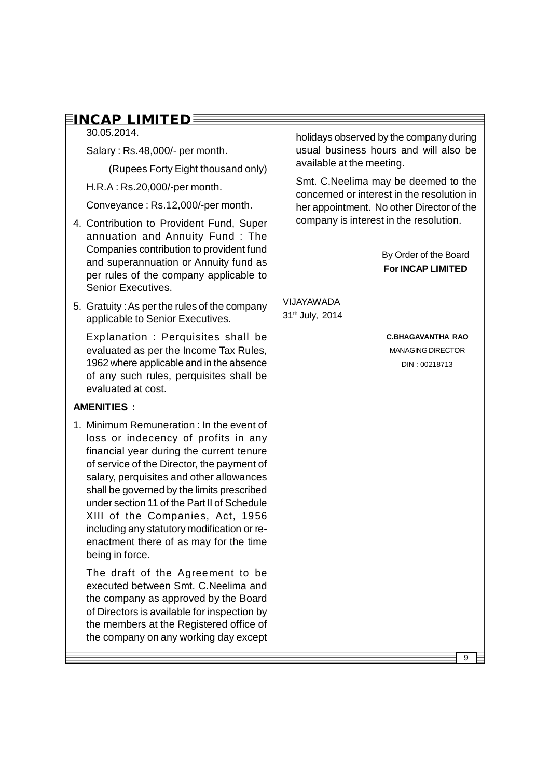30.05.2014.

Salary : Rs.48,000/- per month.

(Rupees Forty Eight thousand only)

H.R.A : Rs.20,000/-per month.

Conveyance : Rs.12,000/-per month.

- 4. Contribution to Provident Fund, Super annuation and Annuity Fund : The Companies contribution to provident fund and superannuation or Annuity fund as per rules of the company applicable to Senior Executives.
- 5. Gratuity :As per the rules of the company applicable to Senior Executives.

Explanation : Perquisites shall be evaluated as per the Income Tax Rules, 1962 where applicable and in the absence of any such rules, perquisites shall be evaluated at cost.

### **AMENITIES :**

1. Minimum Remuneration : In the event of loss or indecency of profits in any financial year during the current tenure of service of the Director, the payment of salary, perquisites and other allowances shall be governed by the limits prescribed under section 11 of the Part II of Schedule XIII of the Companies, Act, 1956 including any statutory modification or reenactment there of as may for the time being in force.

The draft of the Agreement to be executed between Smt. C.Neelima and the company as approved by the Board of Directors is available for inspection by the members at the Registered office of the company on any working day except holidays observed by the company during usual business hours and will also be available at the meeting.

Smt. C.Neelima may be deemed to the concerned or interest in the resolution in her appointment. No other Director of the company is interest in the resolution.

> By Order of the Board **ForINCAP LIMITED**

VIJAYAWADA 31 th July, 2014

> **C.BHAGAVANTHA RAO** MANAGING DIRECTOR DIN : 00218713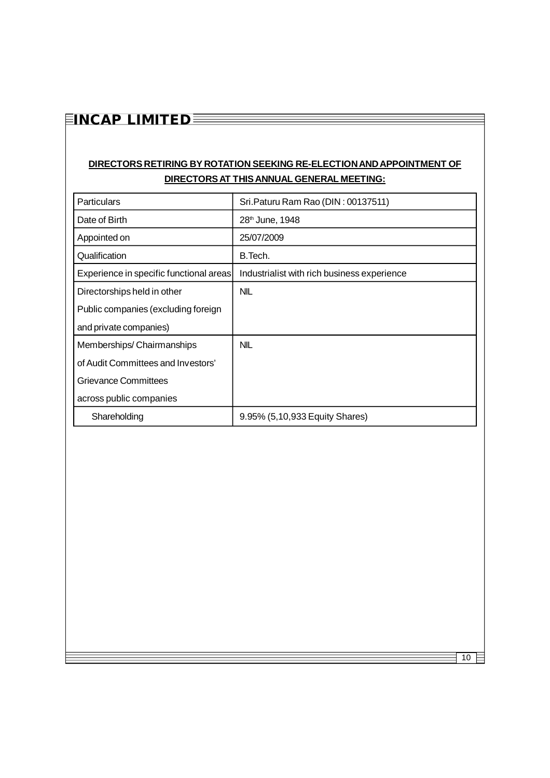# **DIRECTORS RETIRING BY ROTATION SEEKING RE-ELECTIONANDAPPOINTMENT OF DIRECTORSAT THISANNUAL GENERAL MEETING:**

| <b>Particulars</b>                      | Sri. Paturu Ram Rao (DIN: 00137511)         |
|-----------------------------------------|---------------------------------------------|
| Date of Birth                           | 28 <sup>th</sup> June, 1948                 |
| Appointed on                            | 25/07/2009                                  |
| Qualification                           | B.Tech.                                     |
| Experience in specific functional areas | Industrialist with rich business experience |
| Directorships held in other             | <b>NIL</b>                                  |
| Public companies (excluding foreign     |                                             |
| and private companies)                  |                                             |
| Memberships/ Chairmanships              | <b>NIL</b>                                  |
| of Audit Committees and Investors'      |                                             |
| Grievance Committees                    |                                             |
| across public companies                 |                                             |
| Shareholding                            | 9.95% (5,10,933 Equity Shares)              |

 $\overline{10}$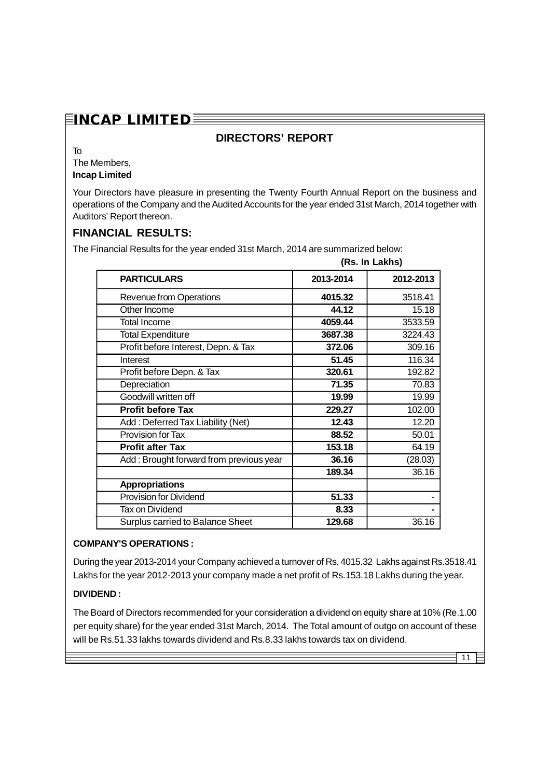### **DIRECTORS' REPORT**

To

The Members, **Incap Limited**

Your Directors have pleasure in presenting the Twenty Fourth Annual Report on the business and operations of the Company and the Audited Accounts for the year ended 31st March, 2014 together with Auditors' Report thereon.

# **FINANCIAL RESULTS:**

The Financial Results for the year ended 31st March, 2014 are summarized below:

|                                         | (Rs. In Lakhs) |           |  |
|-----------------------------------------|----------------|-----------|--|
| <b>PARTICULARS</b>                      | 2013-2014      | 2012-2013 |  |
| Revenue from Operations                 | 4015.32        | 3518.41   |  |
| Other Income                            | 44.12          | 15.18     |  |
| <b>Total Income</b>                     | 4059.44        | 3533.59   |  |
| <b>Total Expenditure</b>                | 3687.38        | 3224.43   |  |
| Profit before Interest, Depn. & Tax     | 372.06         | 309.16    |  |
| Interest                                | 51.45          | 116.34    |  |
| Profit before Depn. & Tax               | 320.61         | 192.82    |  |
| Depreciation                            | 71.35          | 70.83     |  |
| Goodwill written off                    | 19.99          | 19.99     |  |
| <b>Profit before Tax</b>                | 229.27         | 102.00    |  |
| Add: Deferred Tax Liability (Net)       | 12.43          | 12.20     |  |
| Provision for Tax                       | 88.52          | 50.01     |  |
| <b>Profit after Tax</b>                 | 153.18         | 64.19     |  |
| Add: Brought forward from previous year | 36.16          | (28.03)   |  |
|                                         | 189.34         | 36.16     |  |
| <b>Appropriations</b>                   |                |           |  |
| <b>Provision for Dividend</b>           | 51.33          |           |  |
| <b>Tax on Dividend</b>                  | 8.33           |           |  |
| Surplus carried to Balance Sheet        | 129.68         | 36.16     |  |

#### **COMPANY'S OPERATIONS :**

During the year 2013-2014 your Company achieved a turnover of Rs. 4015.32 Lakhs against Rs.3518.41 Lakhs for the year 2012-2013 your company made a net profit of Rs.153.18 Lakhs during the year.

### **DIVIDEND :**

The Board of Directors recommended for your consideration a dividend on equity share at 10% (Re.1.00 per equity share) for the year ended 31st March, 2014. The Total amount of outgo on account of these will be Rs.51.33 lakhs towards dividend and Rs.8.33 lakhs towards tax on dividend.

 $11E$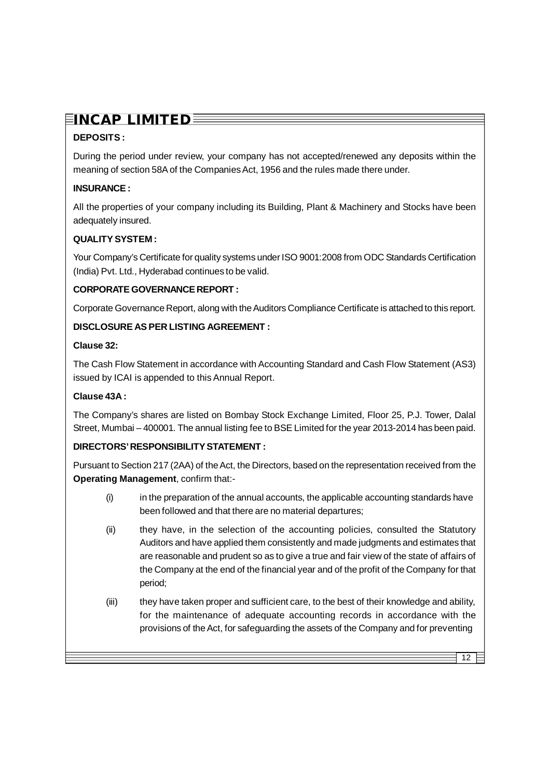### **DEPOSITS :**

During the period under review, your company has not accepted/renewed any deposits within the meaning of section 58A of the Companies Act, 1956 and the rules made there under.

### **INSURANCE:**

All the properties of your company including its Building, Plant & Machinery and Stocks have been adequately insured.

### **QUALITYSYSTEM :**

Your Company's Certificate for quality systems under ISO 9001:2008 from ODC Standards Certification (India) Pvt. Ltd., Hyderabad continues to be valid.

### **CORPORATE GOVERNANCEREPORT :**

Corporate Governance Report, along with the Auditors Compliance Certificate is attached to this report.

### **DISCLOSURE ASPER LISTING AGREEMENT :**

### **Clause 32:**

The Cash Flow Statement in accordance with Accounting Standard and Cash Flow Statement (AS3) issued by ICAI is appended to this Annual Report.

### **Clause 43A :**

The Company's shares are listed on Bombay Stock Exchange Limited, Floor 25, P.J. Tower, Dalal Street, Mumbai – 400001. The annual listing fee to BSE Limited for the year 2013-2014 has been paid.

### **DIRECTORS'RESPONSIBILITYSTATEMENT :**

Pursuant to Section 217 (2AA) of the Act, the Directors, based on the representation received from the **Operating Management**, confirm that:-

- (i) in the preparation of the annual accounts, the applicable accounting standards have been followed and that there are no material departures;
- (ii) they have, in the selection of the accounting policies, consulted the Statutory Auditors and have applied them consistently and made judgments and estimates that are reasonable and prudent so as to give a true and fair view of the state of affairs of the Company at the end of the financial year and of the profit of the Company for that period;
- (iii) they have taken proper and sufficient care, to the best of their knowledge and ability, for the maintenance of adequate accounting records in accordance with the provisions of the Act, for safeguarding the assets of the Company and for preventing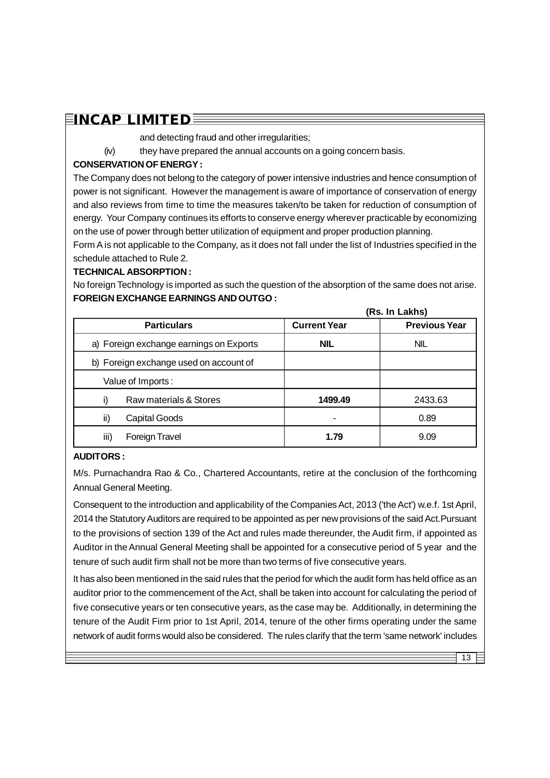and detecting fraud and other irregularities;

(iv) they have prepared the annual accounts on a going concern basis.

### **CONSERVATION OF ENERGY:**

The Company does not belong to the category of power intensive industries and hence consumption of power is not significant. However the management is aware of importance of conservation of energy and also reviews from time to time the measures taken/to be taken for reduction of consumption of energy. Your Company continues its efforts to conserve energy wherever practicable by economizing on the use of power through better utilization of equipment and proper production planning.

Form Ais not applicable to the Company, as it does not fall under the list of Industries specified in the schedule attached to Rule 2.

#### **TECHNICAL ABSORPTION :**

No foreign Technology is imported as such the question of the absorption of the same does not arise. **FOREIGN EXCHANGEEARNINGS AND OUTGO :**

|                                         |                     | (Rs. In Lakhs)       |
|-----------------------------------------|---------------------|----------------------|
| <b>Particulars</b>                      | <b>Current Year</b> | <b>Previous Year</b> |
| a) Foreign exchange earnings on Exports | <b>NIL</b>          | <b>NIL</b>           |
| b) Foreign exchange used on account of  |                     |                      |
| Value of Imports:                       |                     |                      |
| i)<br>Raw materials & Stores            | 1499.49             | 2433.63              |
| ii)<br>Capital Goods                    |                     | 0.89                 |
| iii)<br>Foreign Travel                  | 1.79                | 9.09                 |

#### **AUDITORS:**

M/s. Purnachandra Rao & Co., Chartered Accountants, retire at the conclusion of the forthcoming Annual General Meeting.

Consequent to the introduction and applicability of the Companies Act, 2013 ('the Act') w.e.f. 1st April, 2014 the Statutory Auditors are required to be appointed as per new provisions of the said Act. Pursuant to the provisions of section 139 of the Act and rules made thereunder, the Audit firm, if appointed as Auditor in theAnnual General Meeting shall be appointed for a consecutive period of 5 year and the tenure of such audit firm shall not be more than two terms of five consecutive years.

It has also been mentioned in the said rules that the period for which the audit form has held office as an auditor prior to the commencement of theAct, shall be taken into account for calculating the period of five consecutive years or ten consecutive years, as the case may be. Additionally, in determining the tenure of the Audit Firm prior to 1st April, 2014, tenure of the other firms operating under the same network of audit forms would also be considered. The rules clarify that the term 'same network' includes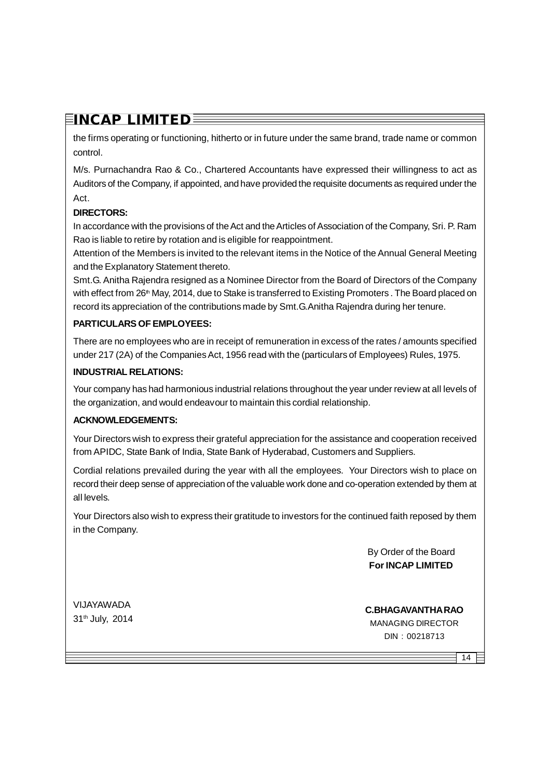the firms operating or functioning, hitherto or in future under the same brand, trade name or common control.

M/s. Purnachandra Rao & Co., Chartered Accountants have expressed their willingness to act as Auditors of the Company, if appointed, and have provided the requisite documents as required under the Act.

### **DIRECTORS:**

In accordance with the provisions of the Act and the Articles of Association of the Company, Sri. P. Ram Rao is liable to retire by rotation and is eligible for reappointment.

Attention of the Members is invited to the relevant items in the Notice of the Annual General Meeting and the Explanatory Statement thereto.

Smt.G. Anitha Rajendra resigned as a Nominee Director from the Board of Directors of the Company with effect from 26 th May, 2014, due to Stake is transferred to Existing Promoters . The Board placed on record its appreciation of the contributions made by Smt.G.Anitha Rajendra during her tenure.

#### **PARTICULARS OF EMPLOYEES:**

There are no employees who are in receipt of remuneration in excess of the rates / amounts specified under 217 (2A) of the Companies Act, 1956 read with the (particulars of Employees) Rules, 1975.

#### **INDUSTRIAL RELATIONS:**

Your company has had harmonious industrial relations throughout the year under review at all levels of the organization, and would endeavour to maintain this cordial relationship.

#### **ACKNOWLEDGEMENTS:**

Your Directors wish to express their grateful appreciation for the assistance and cooperation received from APIDC, State Bank of India, State Bank of Hyderabad, Customers and Suppliers.

Cordial relations prevailed during the year with all the employees. Your Directors wish to place on record their deep sense of appreciation of the valuable work done and co-operation extended by them at all levels.

Your Directors also wish to express their gratitude to investors for the continued faith reposed by them in the Company.

> By Order of the Board **ForINCAP LIMITED**

VIJAYAWADA 31 th July, 2014

**C.BHAGAVANTHARAO** MANAGING DIRECTOR DIN : 00218713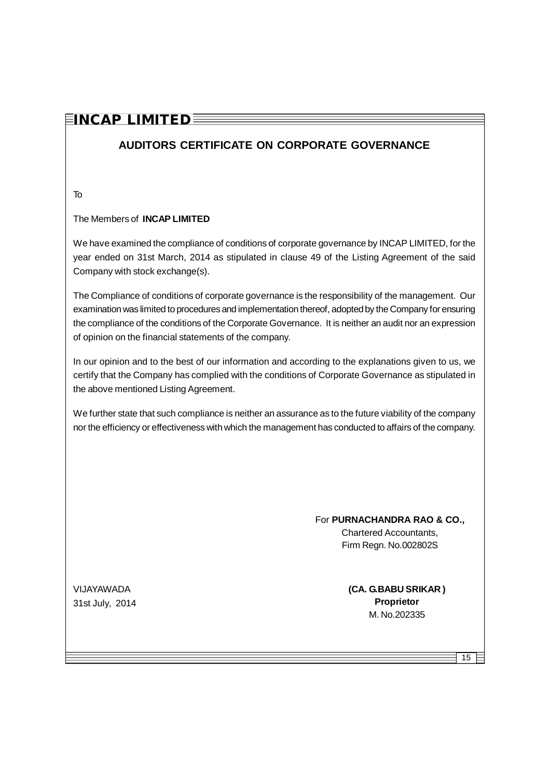# **AUDITORS CERTIFICATE ON CORPORATE GOVERNANCE**

To

The Members of **INCAP LIMITED**

We have examined the compliance of conditions of corporate governance by INCAP LIMITED, for the year ended on 31st March, 2014 as stipulated in clause 49 of the Listing Agreement of the said Company with stock exchange(s).

The Compliance of conditions of corporate governance is the responsibility of the management. Our examination was limited to procedures and implementation thereof, adopted by the Company for ensuring the compliance of the conditions of the Corporate Governance. It is neither an audit nor an expression of opinion on the financial statements of the company.

In our opinion and to the best of our information and according to the explanations given to us, we certify that the Company has complied with the conditions of Corporate Governance as stipulated in the above mentioned Listing Agreement.

We further state that such compliance is neither an assurance as to the future viability of the company nor the efficiency or effectiveness with which the management has conducted to affairs of the company.

> For **PURNACHANDRA RAO & CO.,** Chartered Accountants, Firm Regn. No.002802S

VIJAYAWADA 31st July, 2014 **(CA. G.BABU SRIKAR ) Proprietor** M. No.202335

 $15E$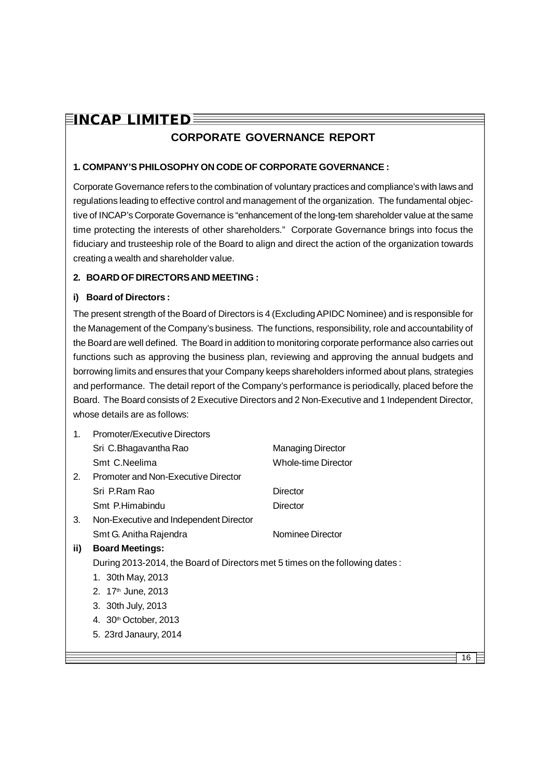# **CORPORATE GOVERNANCE REPORT**

#### **1. COMPANY'S PHILOSOPHY ON CODE OF CORPORATE GOVERNANCE :**

Corporate Governance refers to the combination of voluntary practices and compliance's with laws and regulations leading to effective control and management of the organization. The fundamental objective of INCAP's Corporate Governance is "enhancement of the long-tem shareholder value at the same time protecting the interests of other shareholders." Corporate Governance brings into focus the fiduciary and trusteeship role of the Board to align and direct the action of the organization towards creating a wealth and shareholder value.

#### **2. BOARD OF DIRECTORSAND MEETING :**

#### **i) Board of Directors :**

The present strength of the Board of Directors is 4 (ExcludingAPIDC Nominee) and is responsible for the Management of the Company's business. The functions, responsibility, role and accountability of the Board are well defined. The Board in addition to monitoring corporate performance also carries out functions such as approving the business plan, reviewing and approving the annual budgets and borrowing limits and ensures that your Company keeps shareholders informed about plans, strategies and performance. The detail report of the Company's performance is periodically, placed before the Board. The Board consists of 2 Executive Directors and 2 Non-Executive and 1 Independent Director, whose details are as follows:

|                |                                                                              |                          | 16 |  |
|----------------|------------------------------------------------------------------------------|--------------------------|----|--|
|                |                                                                              |                          |    |  |
|                | 5. 23rd Janaury, 2014                                                        |                          |    |  |
|                | 4. 30 <sup>th</sup> October, 2013                                            |                          |    |  |
|                | 3. 30th July, 2013                                                           |                          |    |  |
|                | 2. 17 <sup>th</sup> June, 2013                                               |                          |    |  |
|                | 1. 30th May, 2013                                                            |                          |    |  |
|                | During 2013-2014, the Board of Directors met 5 times on the following dates: |                          |    |  |
| ii)            | <b>Board Meetings:</b>                                                       |                          |    |  |
|                | Smt G. Anitha Rajendra                                                       | Nominee Director         |    |  |
| 3.             | Non-Executive and Independent Director                                       |                          |    |  |
|                | Smt P.Himabindu                                                              | Director                 |    |  |
|                | Sri P.Ram Rao                                                                | Director                 |    |  |
| 2.             | Promoter and Non-Executive Director                                          |                          |    |  |
|                | Smt C.Neelima                                                                | Whole-time Director      |    |  |
|                | Sri C.Bhagavantha Rao                                                        | <b>Managing Director</b> |    |  |
| $\mathbf{1}$ . | Promoter/Executive Directors                                                 |                          |    |  |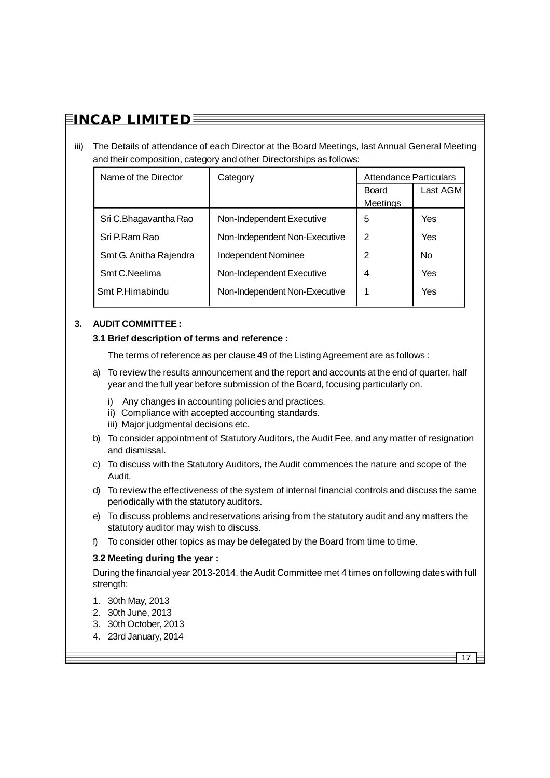iii) The Details of attendance of each Director at the Board Meetings, last Annual General Meeting and their composition, category and other Directorships as follows:

| Name of the Director   | Category                      | <b>Attendance Particulars</b> |           |
|------------------------|-------------------------------|-------------------------------|-----------|
|                        |                               | Board                         | Last AGM  |
|                        |                               | <b>Meetings</b>               |           |
| Sri C.Bhagavantha Rao  | Non-Independent Executive     | 5                             | Yes       |
| Sri P.Ram Rao          | Non-Independent Non-Executive | 2                             | Yes       |
| Smt G. Anitha Rajendra | Independent Nominee           | 2                             | <b>No</b> |
| Smt C.Neelima          | Non-Independent Executive     | 4                             | Yes       |
| Smt P.Himabindu        | Non-Independent Non-Executive | 1                             | Yes       |
|                        |                               |                               |           |

#### **3. AUDIT COMMITTEE:**

#### **3.1 Brief description of terms and reference :**

The terms of reference as per clause 49 of the Listing Agreement are as follows :

- a) To review the results announcement and the report and accounts at the end of quarter, half year and the full year before submission of the Board, focusing particularly on.
	- i) Any changes in accounting policies and practices.
	- ii) Compliance with accepted accounting standards.
	- iii) Major judgmental decisions etc.
- b) To consider appointment of Statutory Auditors, the Audit Fee, and any matter of resignation and dismissal.
- c) To discuss with the Statutory Auditors, the Audit commences the nature and scope of the Audit.
- d) To review the effectiveness of the system of internal financial controls and discuss the same periodically with the statutory auditors.
- e) To discuss problems and reservations arising from the statutory audit and any matters the statutory auditor may wish to discuss.
- f) To consider other topics as may be delegated by the Board from time to time.

#### **3.2 Meeting during the year :**

During the financial year 2013-2014, the Audit Committee met 4 times on following dates with full strength:

 $17E$ 

- 1. 30th May, 2013
- 2. 30th June, 2013
- 3. 30th October, 2013
- 4. 23rd January, 2014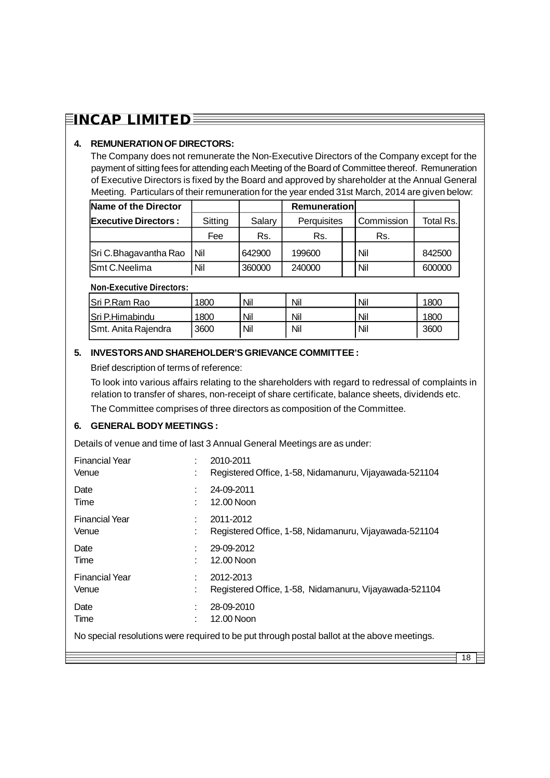#### **4. REMUNERATIONOF DIRECTORS:**

The Company does not remunerate the Non-Executive Directors of the Company except for the payment of sitting fees for attending each Meeting of the Board of Committee thereof. Remuneration of Executive Directors is fixed by the Board and approved by shareholder at the Annual General Meeting. Particulars of their remuneration for the year ended 31st March, 2014 are given below:

| Name of the Director        |         |        | <b>Remuneration</b> |  |            |           |
|-----------------------------|---------|--------|---------------------|--|------------|-----------|
| <b>Executive Directors:</b> | Sitting | Salary | Perquisites         |  | Commission | Total Rs. |
|                             | Fee     | Rs.    | Rs.                 |  | Rs.        |           |
| Sri C.Bhagavantha Rao       | Nil     | 642900 | 199600              |  | Nil        | 842500    |
| Smt C.Neelima               | Nil     | 360000 | 240000              |  | Nil        | 600000    |

#### **Non-Executive Directors:**

| Sri P.Ram Rao       | 1800 | Nil | Nil | Nil | 1800 |
|---------------------|------|-----|-----|-----|------|
| Sri P.Himabindu     | 1800 | Nil | Nil | Nil | 180C |
| Smt. Anita Rajendra | 3600 | Nil | Nil | Nil | 3600 |

#### **5. INVESTORSAND SHAREHOLDER'S GRIEVANCE COMMITTEE:**

Brief description of terms of reference:

To look into various affairs relating to the shareholders with regard to redressal of complaints in relation to transfer of shares, non-receipt of share certificate, balance sheets, dividends etc. The Committee comprises of three directors as composition of the Committee.

#### **6. GENERAL BODY MEETINGS :**

Details of venue and time of last 3 Annual General Meetings are as under:

| <b>Financial Year</b><br>Venue                                                              |  | 2010-2011<br>Registered Office, 1-58, Nidamanuru, Vijayawada-521104 |  |  |  |  |
|---------------------------------------------------------------------------------------------|--|---------------------------------------------------------------------|--|--|--|--|
| Date<br>Time                                                                                |  | 24-09-2011<br>12.00 Noon                                            |  |  |  |  |
| Financial Year<br>Venue                                                                     |  | 2011-2012<br>Registered Office, 1-58, Nidamanuru, Vijayawada-521104 |  |  |  |  |
| Date<br>Time                                                                                |  | 29-09-2012<br>12.00 Noon                                            |  |  |  |  |
| <b>Financial Year</b><br>Venue                                                              |  | 2012-2013<br>Registered Office, 1-58, Nidamanuru, Vijayawada-521104 |  |  |  |  |
| Date<br>Time                                                                                |  | 28-09-2010<br>12.00 Noon                                            |  |  |  |  |
| No special resolutions were required to be put through postal ballot at the above meetings. |  |                                                                     |  |  |  |  |

 $\overline{18}$   $\overline{)}$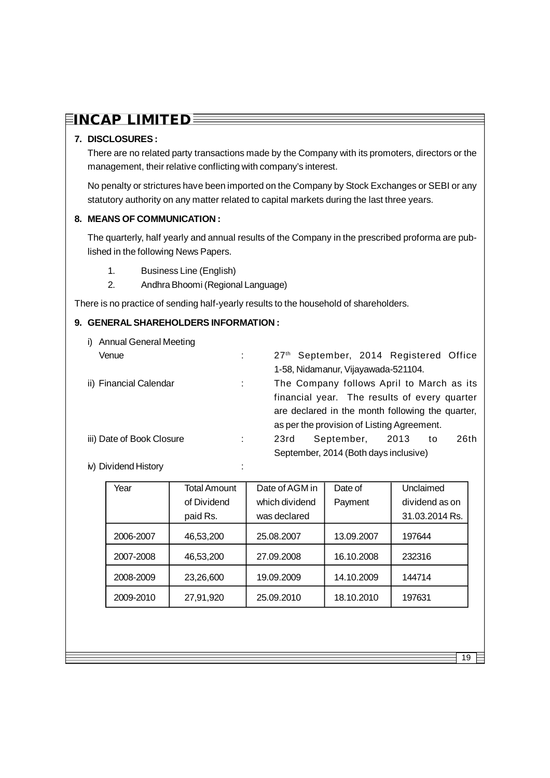#### **7. DISCLOSURES:**

There are no related party transactions made by the Company with its promoters, directors or the management, their relative conflicting with company's interest.

No penalty or strictures have been imported on the Company by Stock Exchanges or SEBI or any statutory authority on any matter related to capital markets during the last three years.

#### **8. MEANS OF COMMUNICATION :**

The quarterly, half yearly and annual results of the Company in the prescribed proforma are published in the following News Papers.

- 1. Business Line (English)
- 2. Andhra Bhoomi (Regional Language)

There is no practice of sending half-yearly results to the household of shareholders.

### **9. GENERAL SHAREHOLDERS INFORMATION :**

- i) Annual General Meeting Venue : 277 annualisme : 277 annualisme : 277 annualisme : 277 annualisme : 277 annualisme : 277 annualisme : 277 annualisme : 277 annualisme : 277 annualisme : 277 annualisme : 277 annualisme : 277 annualisme : 277 annual 27<sup>th</sup> September, 2014 Registered Office 1-58, Nidamanur, Vijayawada-521104. ii) Financial Calendar : The Company follows April to March as its financial year. The results of every quarter are declared in the month following the quarter, as per the provision of Listing Agreement. iii) Date of Book Closure : 23rd September, 2013 to 26th September, 2014 (Both days inclusive)
- iv) Dividend History : the state of the state of the state of the state of the state of the state of the state o

| Year      | <b>Total Amount</b> |                | Date of    | Unclaimed      |
|-----------|---------------------|----------------|------------|----------------|
|           | of Dividend         | which dividend | Payment    | dividend as on |
|           | paid Rs.            | was declared   |            | 31.03.2014 Rs. |
| 2006-2007 | 46,53,200           | 25.08.2007     | 13.09.2007 | 197644         |
| 2007-2008 | 46,53,200           | 27.09.2008     | 16.10.2008 | 232316         |
| 2008-2009 | 23,26,600           | 19.09.2009     | 14.10.2009 | 144714         |
| 2009-2010 | 27,91,920           | 25.09.2010     | 18.10.2010 | 197631         |

 $19E$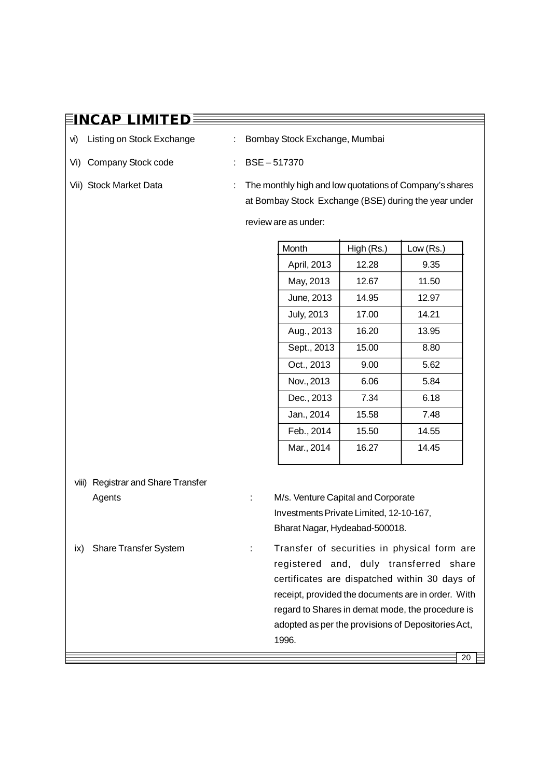- vi) Listing on Stock Exchange : Bombay Stock Exchange, Mumbai
- Vi) Company Stock code : BSE 517370
- 
- Vii) Stock Market Data : The monthly high and low quotations of Company's shares
	- at Bombay Stock Exchange (BSE) during the year under

review are as under:

| Month       | High (Rs.) | Low (Rs.) |
|-------------|------------|-----------|
| April, 2013 | 12.28      | 9.35      |
| May, 2013   | 12.67      | 11.50     |
| June, 2013  | 14.95      | 12.97     |
| July, 2013  | 17.00      | 14.21     |
| Aug., 2013  | 16.20      | 13.95     |
| Sept., 2013 | 15.00      | 8.80      |
| Oct., 2013  | 9.00       | 5.62      |
| Nov., 2013  | 6.06       | 5.84      |
| Dec., 2013  | 7.34       | 6.18      |
| Jan., 2014  | 15.58      | 7.48      |
| Feb., 2014  | 15.50      | 14.55     |
| Mar., 2014  | 16.27      | 14.45     |
|             |            |           |

- viii) Registrar and Share Transfer
- 
- Agents **Agents** : M/s. Venture Capital and Corporate Investments Private Limited, 12-10-167, Bharat Nagar, Hydeabad-500018.
- ix) Share Transfer System : Transfer of securities in physical form are registered and, duly transferred share certificates are dispatched within 30 days of receipt, provided the documents are in order. With regard to Shares in demat mode, the procedure is adopted as per the provisions of DepositoriesAct, 1996.

 $\overline{20}$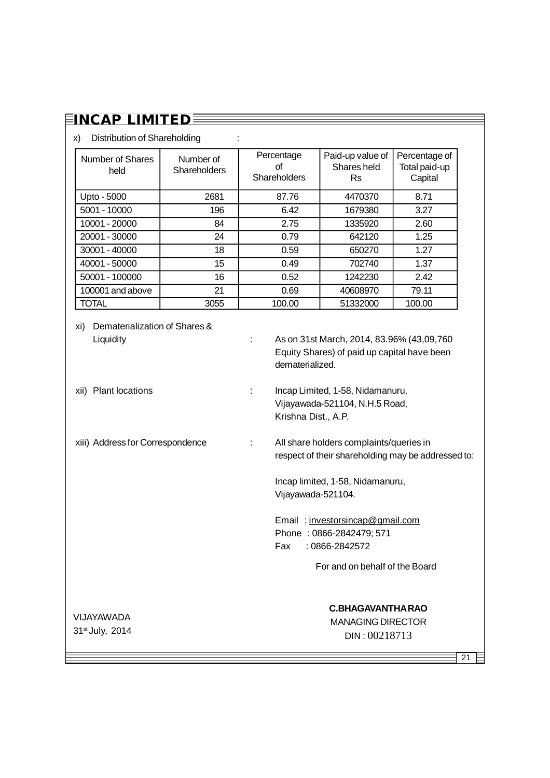| <b>Number of Shares</b><br>held  | Number of<br><b>Shareholders</b> | Percentage<br>of<br>Shareholders | Paid-up value of<br>Shares held<br><b>Rs</b>                                                                                                            | Percentage of<br>Total paid-up<br>Capital |
|----------------------------------|----------------------------------|----------------------------------|---------------------------------------------------------------------------------------------------------------------------------------------------------|-------------------------------------------|
| Upto - 5000                      | 2681                             | 87.76                            | 4470370                                                                                                                                                 | 8.71                                      |
| 5001 - 10000                     | 196                              | 6.42                             | 1679380                                                                                                                                                 | 3.27                                      |
| 10001 - 20000                    | 84                               | 2.75                             | 1335920                                                                                                                                                 | 2.60                                      |
| 20001 - 30000                    | 24                               | 0.79                             | 642120                                                                                                                                                  | 1.25                                      |
| 30001 - 40000                    | 18                               | 0.59                             | 650270                                                                                                                                                  | 1.27                                      |
| 40001 - 50000                    | 15                               | 0.49                             | 702740                                                                                                                                                  | 1.37                                      |
| 50001 - 100000                   | 16                               | 0.52                             | 1242230                                                                                                                                                 | 2.42                                      |
| 100001 and above                 | 21                               | 0.69                             | 40608970                                                                                                                                                | 79.11                                     |
| <b>TOTAL</b>                     | 3055                             | 100.00                           | 51332000                                                                                                                                                | 100.00                                    |
| xii) Plant locations             |                                  |                                  | Incap Limited, 1-58, Nidamanuru,<br>Vijayawada-521104, N.H.5 Road,                                                                                      |                                           |
| xiii) Address for Correspondence |                                  | Krishna Dist., A.P.<br>÷         | All share holders complaints/queries in<br>respect of their shareholding may be addressed to:<br>Incap limited, 1-58, Nidamanuru,<br>Vijayawada-521104. |                                           |
|                                  |                                  | Fax                              | Email: investorsincap@gmail.com<br>Phone: 0866-2842479; 571<br>: 0866-2842572<br>For and on behalf of the Board                                         |                                           |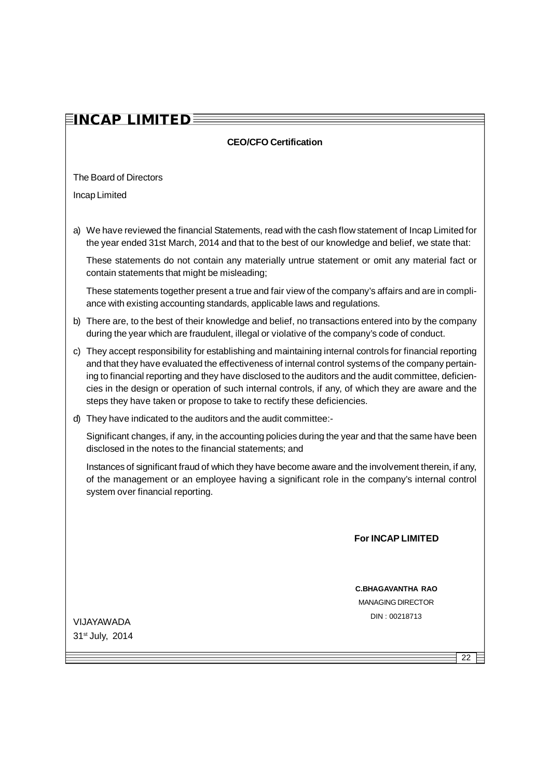| EINCAP LIMITED                                                                                                                                                                                                                                                                                                                                                                                                                                                                                              |  |  |  |  |  |  |
|-------------------------------------------------------------------------------------------------------------------------------------------------------------------------------------------------------------------------------------------------------------------------------------------------------------------------------------------------------------------------------------------------------------------------------------------------------------------------------------------------------------|--|--|--|--|--|--|
| <b>CEO/CFO Certification</b>                                                                                                                                                                                                                                                                                                                                                                                                                                                                                |  |  |  |  |  |  |
| The Board of Directors                                                                                                                                                                                                                                                                                                                                                                                                                                                                                      |  |  |  |  |  |  |
| Incap Limited                                                                                                                                                                                                                                                                                                                                                                                                                                                                                               |  |  |  |  |  |  |
| a) We have reviewed the financial Statements, read with the cash flow statement of Incap Limited for<br>the year ended 31st March, 2014 and that to the best of our knowledge and belief, we state that:                                                                                                                                                                                                                                                                                                    |  |  |  |  |  |  |
| These statements do not contain any materially untrue statement or omit any material fact or<br>contain statements that might be misleading;                                                                                                                                                                                                                                                                                                                                                                |  |  |  |  |  |  |
| These statements together present a true and fair view of the company's affairs and are in compli-<br>ance with existing accounting standards, applicable laws and regulations.                                                                                                                                                                                                                                                                                                                             |  |  |  |  |  |  |
| There are, to the best of their knowledge and belief, no transactions entered into by the company<br>b)<br>during the year which are fraudulent, illegal or violative of the company's code of conduct.                                                                                                                                                                                                                                                                                                     |  |  |  |  |  |  |
| They accept responsibility for establishing and maintaining internal controls for financial reporting<br>C)<br>and that they have evaluated the effectiveness of internal control systems of the company pertain-<br>ing to financial reporting and they have disclosed to the auditors and the audit committee, deficien-<br>cies in the design or operation of such internal controls, if any, of which they are aware and the<br>steps they have taken or propose to take to rectify these deficiencies. |  |  |  |  |  |  |
| They have indicated to the auditors and the audit committee:-<br>d)                                                                                                                                                                                                                                                                                                                                                                                                                                         |  |  |  |  |  |  |
| Significant changes, if any, in the accounting policies during the year and that the same have been<br>disclosed in the notes to the financial statements; and                                                                                                                                                                                                                                                                                                                                              |  |  |  |  |  |  |
| Instances of significant fraud of which they have become aware and the involvement therein, if any,<br>of the management or an employee having a significant role in the company's internal control<br>system over financial reporting.                                                                                                                                                                                                                                                                     |  |  |  |  |  |  |
| <b>For INCAP LIMITED</b>                                                                                                                                                                                                                                                                                                                                                                                                                                                                                    |  |  |  |  |  |  |
| <b>C.BHAGAVANTHA RAO</b>                                                                                                                                                                                                                                                                                                                                                                                                                                                                                    |  |  |  |  |  |  |
| <b>MANAGING DIRECTOR</b>                                                                                                                                                                                                                                                                                                                                                                                                                                                                                    |  |  |  |  |  |  |
| DIN: 00218713<br>VI.IAYAWADA                                                                                                                                                                                                                                                                                                                                                                                                                                                                                |  |  |  |  |  |  |
| 31st July, 2014                                                                                                                                                                                                                                                                                                                                                                                                                                                                                             |  |  |  |  |  |  |
| 22                                                                                                                                                                                                                                                                                                                                                                                                                                                                                                          |  |  |  |  |  |  |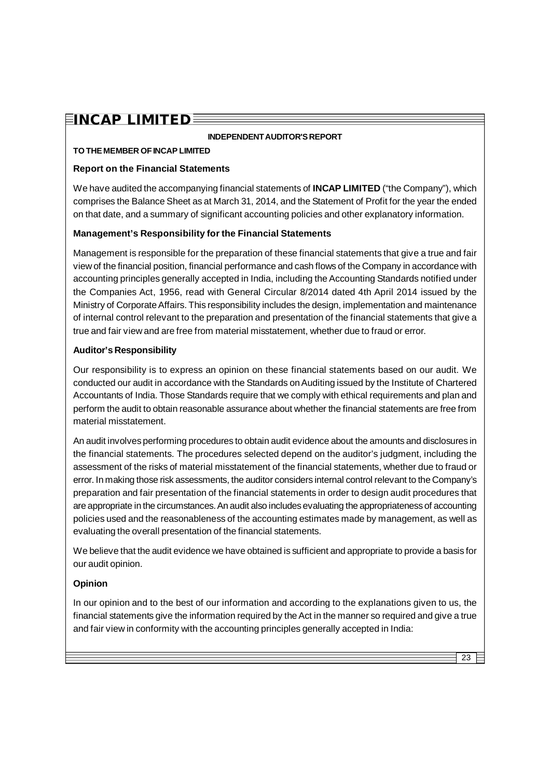#### **INDEPENDENTAUDITOR'SREPORT**

#### **TO THE MEMBER OFINCAP LIMITED**

#### **Report on the Financial Statements**

We have audited the accompanying financial statements of **INCAP LIMITED** ("the Company"), which comprises the Balance Sheet as at March 31, 2014, and the Statement of Profit for the year the ended on that date, and a summary of significant accounting policies and other explanatory information.

#### **Management's Responsibility for the Financial Statements**

Management is responsible for the preparation of these financial statements that give a true and fair view of the financial position, financial performance and cash flows of the Company in accordance with accounting principles generally accepted in India, including the Accounting Standards notified under the Companies Act, 1956, read with General Circular 8/2014 dated 4th April 2014 issued by the Ministry of CorporateAffairs. This responsibility includes the design, implementation and maintenance of internal control relevant to the preparation and presentation of the financial statements that give a true and fair view and are free from material misstatement, whether due to fraud or error.

#### **Auditor's Responsibility**

Our responsibility is to express an opinion on these financial statements based on our audit. We conducted our audit in accordance with the Standards on Auditing issued by the Institute of Chartered Accountants of India. Those Standards require that we comply with ethical requirements and plan and perform the audit to obtain reasonable assurance about whether the financial statements are free from material misstatement.

An audit involves performing procedures to obtain audit evidence about the amounts and disclosures in the financial statements. The procedures selected depend on the auditor's judgment, including the assessment of the risks of material misstatement of the financial statements, whether due to fraud or error. In making those risk assessments, the auditor considers internal control relevant to the Company's preparation and fair presentation of the financial statements in order to design audit procedures that are appropriate in the circumstances.An audit also includes evaluating the appropriateness of accounting policies used and the reasonableness of the accounting estimates made by management, as well as evaluating the overall presentation of the financial statements.

We believe that the audit evidence we have obtained is sufficient and appropriate to provide a basis for our audit opinion.

#### **Opinion**

In our opinion and to the best of our information and according to the explanations given to us, the financial statements give the information required by theAct in the manner so required and give a true and fair view in conformity with the accounting principles generally accepted in India: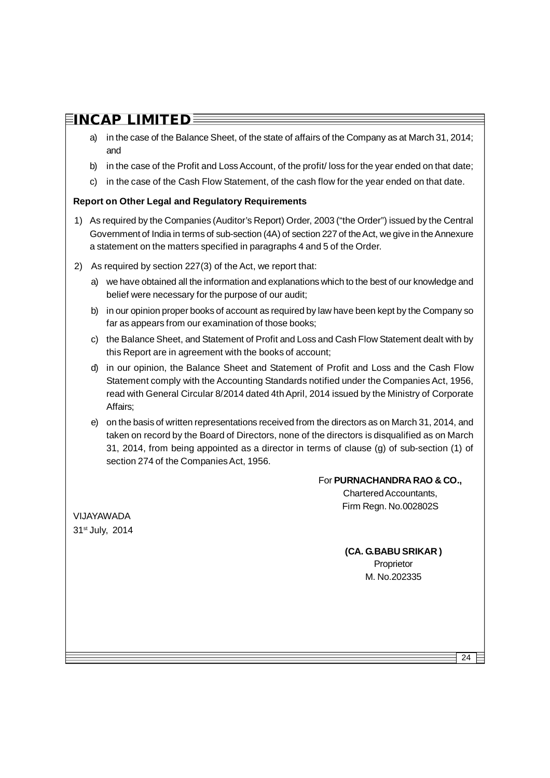- a) in the case of the Balance Sheet, of the state of affairs of the Company as at March 31, 2014; and
- b) in the case of the Profit and Loss Account, of the profit/ loss for the year ended on that date;
- c) in the case of the Cash Flow Statement, of the cash flow for the year ended on that date.

#### **Report on Other Legal and Regulatory Requirements**

- 1) As required by the Companies (Auditor's Report) Order, 2003 ("the Order") issued by the Central Government of India in terms of sub-section (4A) of section 227 of the Act, we give in the Annexure a statement on the matters specified in paragraphs 4 and 5 of the Order.
- 2) As required by section 227(3) of the Act, we report that:
	- a) we have obtained all the information and explanations which to the best of our knowledge and belief were necessary for the purpose of our audit;
	- b) in our opinion proper books of account as required by law have been kept by the Company so far as appears from our examination of those books;
	- c) the Balance Sheet, and Statement of Profit and Loss and Cash Flow Statement dealt with by this Report are in agreement with the books of account;
	- d) in our opinion, the Balance Sheet and Statement of Profit and Loss and the Cash Flow Statement comply with the Accounting Standards notified under the Companies Act, 1956, read with General Circular 8/2014 dated 4th April, 2014 issued by the Ministry of Corporate Affairs;
	- e) on the basis of written representations received from the directors as on March 31, 2014, and taken on record by the Board of Directors, none of the directors is disqualified as on March 31, 2014, from being appointed as a director in terms of clause (g) of sub-section (1) of section 274 of the Companies Act, 1956.

#### For **PURNACHANDRA RAO & CO.,**

CharteredAccountants, Firm Regn. No.002802S

VIJAYAWADA 31 st July, 2014

> **(CA. G.BABU SRIKAR )** Proprietor M. No. 202335

> > 24  $\overline{z}$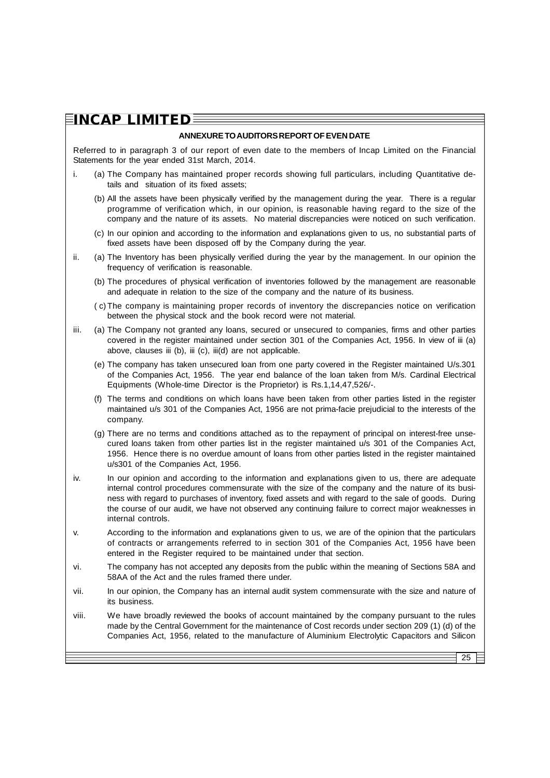#### **ANNEXURETOAUDITORSREPORTOFEVENDATE**

Referred to in paragraph 3 of our report of even date to the members of Incap Limited on the Financial Statements for the year ended 31st March, 2014.

- i. (a) The Company has maintained proper records showing full particulars, including Quantitative details and situation of its fixed assets;
	- (b) All the assets have been physically verified by the management during the year. There is a regular programme of verification which, in our opinion, is reasonable having regard to the size of the company and the nature of its assets. No material discrepancies were noticed on such verification.
	- (c) In our opinion and according to the information and explanations given to us, no substantial parts of fixed assets have been disposed off by the Company during the year.
- ii. (a) The Inventory has been physically verified during the year by the management. In our opinion the frequency of verification is reasonable.
	- (b) The procedures of physical verification of inventories followed by the management are reasonable and adequate in relation to the size of the company and the nature of its business.
	- ( c) The company is maintaining proper records of inventory the discrepancies notice on verification between the physical stock and the book record were not material.
- iii. (a) The Company not granted any loans, secured or unsecured to companies, firms and other parties covered in the register maintained under section 301 of the Companies Act, 1956. In view of iii (a) above, clauses iii (b), iii (c), iii(d) are not applicable.
	- (e) The company has taken unsecured loan from one party covered in the Register maintained U/s.301 of the Companies Act, 1956. The year end balance of the loan taken from M/s. Cardinal Electrical Equipments (Whole-time Director is the Proprietor) is Rs.1,14,47,526/-.
	- (f) The terms and conditions on which loans have been taken from other parties listed in the register maintained u/s 301 of the Companies Act, 1956 are not prima-facie prejudicial to the interests of the company.
	- (g) There are no terms and conditions attached as to the repayment of principal on interest-free unsecured loans taken from other parties list in the register maintained u/s 301 of the Companies Act, 1956. Hence there is no overdue amount of loans from other parties listed in the register maintained u/s301 of the Companies Act, 1956.
- iv. In our opinion and according to the information and explanations given to us, there are adequate internal control procedures commensurate with the size of the company and the nature of its business with regard to purchases of inventory, fixed assets and with regard to the sale of goods. During the course of our audit, we have not observed any continuing failure to correct major weaknesses in internal controls.
- v. According to the information and explanations given to us, we are of the opinion that the particulars of contracts or arrangements referred to in section 301 of the Companies Act, 1956 have been entered in the Register required to be maintained under that section.
- vi. The company has not accepted any deposits from the public within the meaning of Sections 58A and 58AA of the Act and the rules framed there under.
- vii. In our opinion, the Company has an internal audit system commensurate with the size and nature of its business.
- viii. We have broadly reviewed the books of account maintained by the company pursuant to the rules made by the Central Government for the maintenance of Cost records under section 209 (1) (d) of the Companies Act, 1956, related to the manufacture of Aluminium Electrolytic Capacitors and Silicon

25  $E$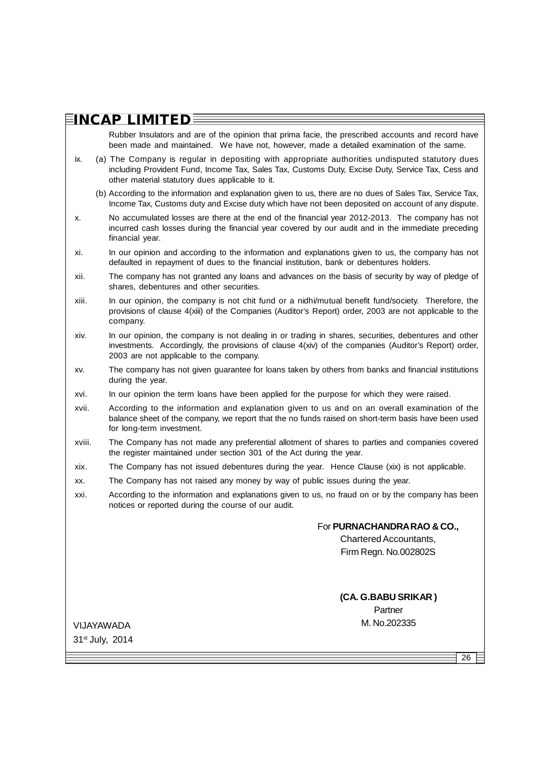Rubber Insulators and are of the opinion that prima facie, the prescribed accounts and record have been made and maintained. We have not, however, made a detailed examination of the same.

- ix. (a) The Company is regular in depositing with appropriate authorities undisputed statutory dues including Provident Fund, Income Tax, Sales Tax, Customs Duty, Excise Duty, Service Tax, Cess and other material statutory dues applicable to it.
	- (b) According to the information and explanation given to us, there are no dues of Sales Tax, Service Tax, Income Tax, Customs duty and Excise duty which have not been deposited on account of any dispute.
- x. No accumulated losses are there at the end of the financial year 2012-2013. The company has not incurred cash losses during the financial year covered by our audit and in the immediate preceding financial year.
- xi. In our opinion and according to the information and explanations given to us, the company has not defaulted in repayment of dues to the financial institution, bank or debentures holders.
- xii. The company has not granted any loans and advances on the basis of security by way of pledge of shares, debentures and other securities.
- xiii. In our opinion, the company is not chit fund or a nidhi/mutual benefit fund/society. Therefore, the provisions of clause 4(xiii) of the Companies (Auditor's Report) order, 2003 are not applicable to the company.
- xiv. In our opinion, the company is not dealing in or trading in shares, securities, debentures and other investments. Accordingly, the provisions of clause 4(xiv) of the companies (Auditor's Report) order, 2003 are not applicable to the company.
- xv. The company has not given guarantee for loans taken by others from banks and financial institutions during the year.
- xvi. In our opinion the term loans have been applied for the purpose for which they were raised.
- xvii. According to the information and explanation given to us and on an overall examination of the balance sheet of the company, we report that the no funds raised on short-term basis have been used for long-term investment.
- xviii. The Company has not made any preferential allotment of shares to parties and companies covered the register maintained under section 301 of the Act during the year.
- xix. The Company has not issued debentures during the year. Hence Clause (xix) is not applicable.
- xx. The Company has not raised any money by way of public issues during the year.
- xxi. According to the information and explanations given to us, no fraud on or by the company has been notices or reported during the course of our audit.

#### For **PURNACHANDRARAO & CO.,**

CharteredAccountants, Firm Regn. No.002802S

#### **(CA. G.BABU SRIKAR )**

Partner M. No.202335

26

VIJAYAWADA 31 st July, 2014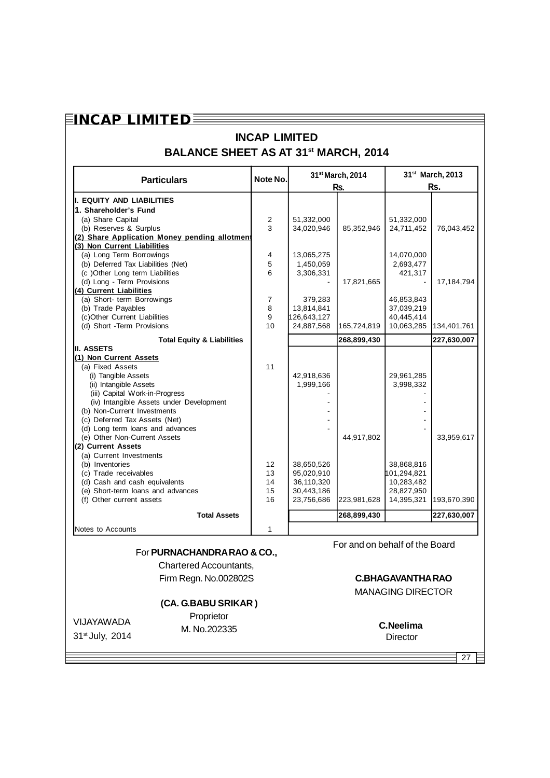# **INCAP LIMITED BALANCE SHEET AS AT 31 st MARCH, 2014**

| <b>Particulars</b>                            | Note No.       |             | 31 <sup>st</sup> March, 2014 |             | 31 <sup>st</sup> March, 2013 |
|-----------------------------------------------|----------------|-------------|------------------------------|-------------|------------------------------|
|                                               |                |             | Rs.                          |             | Rs.                          |
| II. EQUITY AND LIABILITIES                    |                |             |                              |             |                              |
| l1. Shareholder's Fund                        |                |             |                              |             |                              |
| (a) Share Capital                             | $\overline{c}$ | 51,332,000  |                              | 51,332,000  |                              |
| (b) Reserves & Surplus                        | 3              | 34,020,946  | 85,352,946                   | 24,711,452  | 76,043,452                   |
| (2) Share Application Money pending allotment |                |             |                              |             |                              |
| (3) Non Current Liabilities                   |                |             |                              |             |                              |
| (a) Long Term Borrowings                      | 4              | 13,065,275  |                              | 14,070,000  |                              |
| (b) Deferred Tax Liabilities (Net)            | 5              | 1,450,059   |                              | 2,693,477   |                              |
| (c) Other Long term Liabilities               | 6              | 3,306,331   |                              | 421,317     |                              |
| (d) Long - Term Provisions                    |                |             | 17,821,665                   |             | 17,184,794                   |
| (4) Current Liabilities                       |                |             |                              |             |                              |
| (a) Short- term Borrowings                    | $\overline{7}$ | 379.283     |                              | 46,853,843  |                              |
| (b) Trade Payables                            | 8              | 13,814,841  |                              | 37,039,219  |                              |
| (c)Other Current Liabilities                  | 9              | 126,643,127 |                              | 40,445,414  |                              |
| (d) Short - Term Provisions                   | 10             | 24,887,568  | 165,724,819                  | 10,063,285  | 134,401,761                  |
| <b>Total Equity &amp; Liabilities</b>         |                |             | 268,899,430                  |             | 227,630,007                  |
| <b>III. ASSETS</b>                            |                |             |                              |             |                              |
| (1) Non Current Assets                        |                |             |                              |             |                              |
| (a) Fixed Assets                              | 11             |             |                              |             |                              |
| (i) Tangible Assets                           |                | 42,918,636  |                              | 29,961,285  |                              |
| (ii) Intangible Assets                        |                | 1,999,166   |                              | 3,998,332   |                              |
| (iii) Capital Work-in-Progress                |                |             |                              |             |                              |
| (iv) Intangible Assets under Development      |                |             |                              |             |                              |
| (b) Non-Current Investments                   |                |             |                              |             |                              |
| (c) Deferred Tax Assets (Net)                 |                |             |                              |             |                              |
| (d) Long term loans and advances              |                |             |                              |             |                              |
| (e) Other Non-Current Assets                  |                |             | 44,917,802                   |             | 33,959,617                   |
| (2) Current Assets                            |                |             |                              |             |                              |
| (a) Current Investments                       |                |             |                              |             |                              |
| (b) Inventories                               | 12             | 38,650,526  |                              | 38,868,816  |                              |
| (c) Trade receivables                         | 13             | 95,020,910  |                              | 101,294,821 |                              |
| (d) Cash and cash equivalents                 | 14             | 36,110,320  |                              | 10,283,482  |                              |
| (e) Short-term loans and advances             | 15             | 30,443,186  |                              | 28,827,950  |                              |
| (f) Other current assets                      | 16             | 23,756,686  | 223,981,628                  | 14,395,321  | 193,670,390                  |
| <b>Total Assets</b>                           |                |             | 268,899,430                  |             | 227,630,007                  |
| Notes to Accounts                             | $\mathbf{1}$   |             |                              |             |                              |

#### For **PURNACHANDRARAO & CO.,**

CharteredAccountants, Firm Regn. No.002802S

#### **(CA. G.BABU SRIKAR )**

VIJAYAWADA 31 st July, 2014

Proprietor M. No.202335 For and on behalf of the Board

**C.BHAGAVANTHARAO** MANAGING DIRECTOR

**C.Neelima** Director

 $\overline{27}$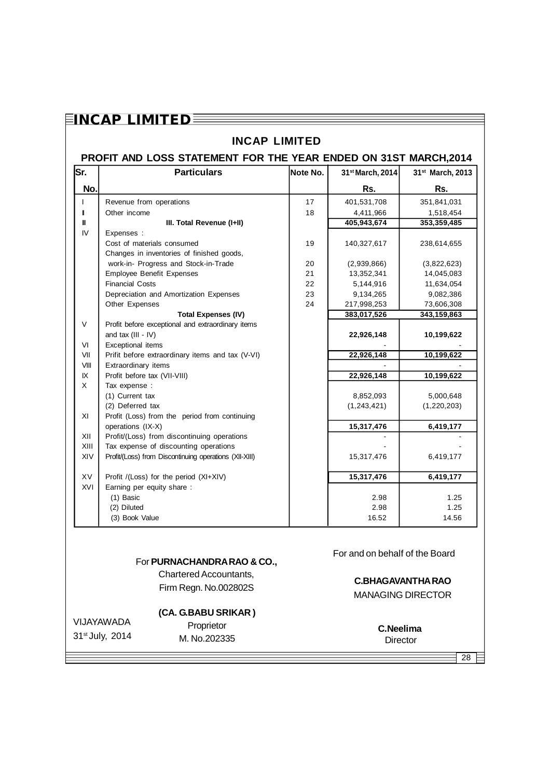### **INCAP LIMITED**

#### **PROFIT AND LOSS STATEMENT FOR THE YEAR ENDED ON 31ST MARCH,2014**

| Sr.          | <b>Particulars</b>                                     | Note No. | 31 <sup>st</sup> March, 2014 | 31st March, 2013 |
|--------------|--------------------------------------------------------|----------|------------------------------|------------------|
| No.          |                                                        |          | Rs.                          | Rs.              |
| $\mathsf{I}$ | Revenue from operations                                | 17       | 401,531,708                  | 351,841,031      |
| Ш            | Other income                                           | 18       | 4,411,966                    | 1,518,454        |
| Ш            | III. Total Revenue (I+II)                              |          | 405,943,674                  | 353,359,485      |
| IV           | Expenses :                                             |          |                              |                  |
|              | Cost of materials consumed                             | 19       | 140,327,617                  | 238,614,655      |
|              | Changes in inventories of finished goods,              |          |                              |                  |
|              | work-in- Progress and Stock-in-Trade                   | 20       | (2,939,866)                  | (3,822,623)      |
|              | <b>Employee Benefit Expenses</b>                       | 21       | 13,352,341                   | 14,045,083       |
|              | <b>Financial Costs</b>                                 | 22       | 5,144,916                    | 11,634,054       |
|              | Depreciation and Amortization Expenses                 | 23       | 9,134,265                    | 9,082,386        |
|              | Other Expenses                                         | 24       | 217,998,253                  | 73,606,308       |
|              | <b>Total Expenses (IV)</b>                             |          | 383,017,526                  | 343,159,863      |
| $\vee$       | Profit before exceptional and extraordinary items      |          |                              |                  |
|              | and $tax (III - IV)$                                   |          | 22,926,148                   | 10,199,622       |
| VI           | Exceptional items                                      |          |                              |                  |
| VII          | Prifit before extraordinary items and tax (V-VI)       |          | 22,926,148                   | 10,199,622       |
| VIII         | Extraordinary items                                    |          |                              |                  |
| IX           | Profit before tax (VII-VIII)                           |          | 22,926,148                   | 10,199,622       |
| X            | Tax expense :                                          |          |                              |                  |
|              | (1) Current tax                                        |          | 8,852,093                    | 5,000,648        |
|              | (2) Deferred tax                                       |          | (1,243,421)                  | (1, 220, 203)    |
| XI           | Profit (Loss) from the period from continuing          |          |                              |                  |
|              | operations (IX-X)                                      |          | 15,317,476                   | 6,419,177        |
| XII          | Profit/(Loss) from discontinuing operations            |          |                              |                  |
| XIII         | Tax expense of discounting operations                  |          |                              |                  |
| XIV          | Profit/(Loss) from Discontinuing operations (XII-XIII) |          | 15,317,476                   | 6,419,177        |
| XV           | Profit /(Loss) for the period (XI+XIV)                 |          | 15,317,476                   | 6,419,177        |
| XVI          | Earning per equity share :                             |          |                              |                  |
|              | $(1)$ Basic                                            |          | 2.98                         | 1.25             |
|              | (2) Diluted                                            |          | 2.98                         | 1.25             |
|              | (3) Book Value                                         |          | 16.52                        | 14.56            |

#### For **PURNACHANDRARAO & CO.,**

Chartered Accountants, Firm Regn. No.002802S

# **(CA. G.BABU SRIKAR )**

VIJAYAWADA 31 st July, 2014

Proprietor M. No.202335 For and on behalf of the Board

**C.BHAGAVANTHARAO** MANAGING DIRECTOR

> **C.Neelima** Director

> > $\overline{28}$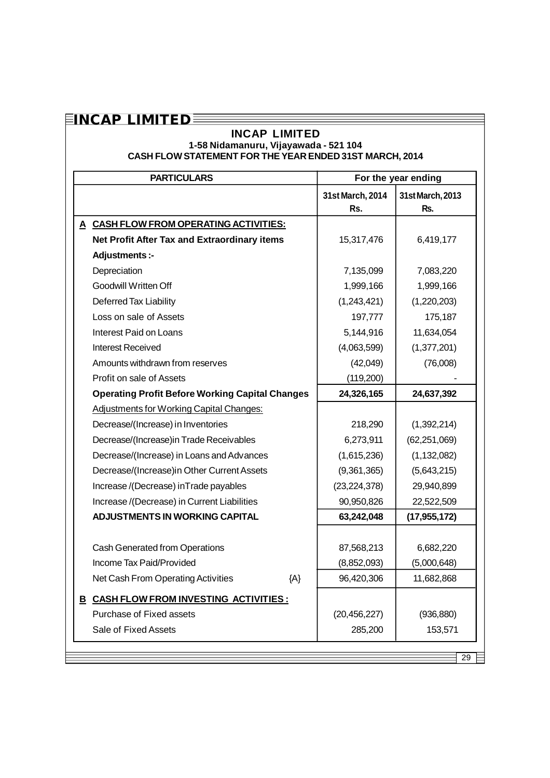#### **INCAP LIMITED 1-58 Nidamanuru, Vijayawada - 521 104 CASH FLOWSTATEMENT FOR THEYEAR ENDED 31ST MARCH, 2014**

| <b>PARTICULARS</b>                                     |                  | For the year ending |  |  |
|--------------------------------------------------------|------------------|---------------------|--|--|
|                                                        | 31st March, 2014 | 31st March, 2013    |  |  |
|                                                        | Rs.              | Rs.                 |  |  |
| A CASH FLOW FROM OPERATING ACTIVITIES:                 |                  |                     |  |  |
| Net Profit After Tax and Extraordinary items           | 15,317,476       | 6,419,177           |  |  |
| Adjustments :-                                         |                  |                     |  |  |
| Depreciation                                           | 7,135,099        | 7,083,220           |  |  |
| Goodwill Written Off                                   | 1,999,166        | 1,999,166           |  |  |
| Deferred Tax Liability                                 | (1,243,421)      | (1,220,203)         |  |  |
| Loss on sale of Assets                                 | 197,777          | 175,187             |  |  |
| Interest Paid on Loans                                 | 5,144,916        | 11,634,054          |  |  |
| <b>Interest Received</b>                               | (4,063,599)      | (1, 377, 201)       |  |  |
| Amounts withdrawn from reserves                        | (42,049)         | (76,008)            |  |  |
| Profit on sale of Assets                               | (119,200)        |                     |  |  |
| <b>Operating Profit Before Working Capital Changes</b> | 24,326,165       | 24,637,392          |  |  |
| <b>Adjustments for Working Capital Changes:</b>        |                  |                     |  |  |
| Decrease/(Increase) in Inventories                     | 218,290          | (1,392,214)         |  |  |
| Decrease/(Increase) in Trade Receivables               | 6,273,911        | (62, 251, 069)      |  |  |
| Decrease/(Increase) in Loans and Advances              | (1,615,236)      | (1, 132, 082)       |  |  |
| Decrease/(Increase)in Other Current Assets             | (9,361,365)      | (5,643,215)         |  |  |
| Increase /(Decrease) inTrade payables                  | (23, 224, 378)   | 29,940,899          |  |  |
| Increase /(Decrease) in Current Liabilities            | 90,950,826       | 22,522,509          |  |  |
| ADJUSTMENTS IN WORKING CAPITAL                         | 63,242,048       | (17, 955, 172)      |  |  |
|                                                        |                  |                     |  |  |
| <b>Cash Generated from Operations</b>                  | 87,568,213       | 6,682,220           |  |  |
| Income Tax Paid/Provided                               | (8,852,093)      | (5,000,648)         |  |  |
| Net Cash From Operating Activities<br>${A}$            | 96,420,306       | 11,682,868          |  |  |
| <b>B CASH FLOW FROM INVESTING ACTIVITIES:</b>          |                  |                     |  |  |
| Purchase of Fixed assets                               | (20, 456, 227)   | (936, 880)          |  |  |
| Sale of Fixed Assets                                   | 285,200          | 153,571             |  |  |
|                                                        |                  |                     |  |  |
|                                                        |                  | 29                  |  |  |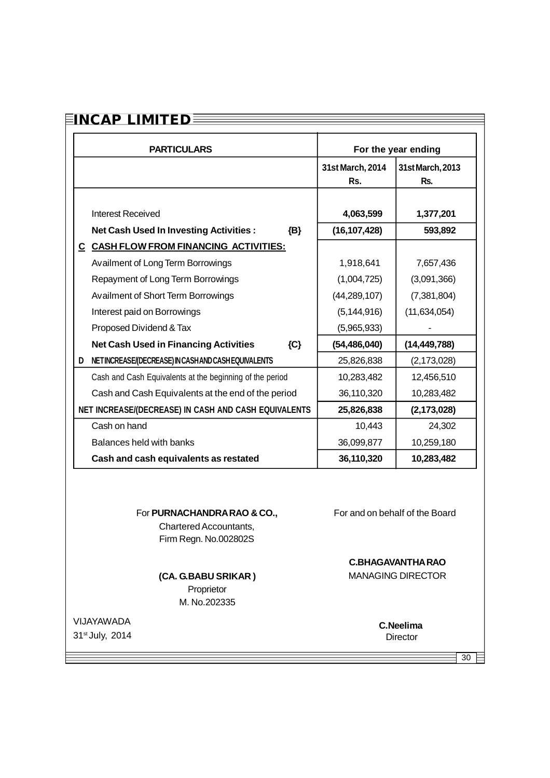|  |  | EINCAP LIMITEDE |  |  |
|--|--|-----------------|--|--|
|  |  |                 |  |  |

|   | <b>PARTICULARS</b>                                       | For the year ending |                         |                         |
|---|----------------------------------------------------------|---------------------|-------------------------|-------------------------|
|   |                                                          |                     | 31st March, 2014<br>Rs. | 31st March, 2013<br>Rs. |
|   | <b>Interest Received</b>                                 |                     | 4,063,599               | 1,377,201               |
|   | <b>Net Cash Used In Investing Activities:</b>            | {B}                 | (16, 107, 428)          | 593,892                 |
|   | C CASH FLOW FROM FINANCING ACTIVITIES:                   |                     |                         |                         |
|   | Availment of Long Term Borrowings                        |                     | 1,918,641               | 7,657,436               |
|   | Repayment of Long Term Borrowings                        |                     | (1,004,725)             | (3,091,366)             |
|   | Availment of Short Term Borrowings                       |                     | (44, 289, 107)          | (7, 381, 804)           |
|   | Interest paid on Borrowings                              |                     | (5, 144, 916)           | (11, 634, 054)          |
|   | Proposed Dividend & Tax                                  |                     | (5,965,933)             |                         |
|   | <b>Net Cash Used in Financing Activities</b>             | ${C}$               | (54, 486, 040)          | (14, 449, 788)          |
| D | NETINCREASE/(DECREASE) IN CASH AND CASH EQUIVALENTS      |                     | 25,826,838              | (2, 173, 028)           |
|   | Cash and Cash Equivalents at the beginning of the period |                     | 10,283,482              | 12,456,510              |
|   | Cash and Cash Equivalents at the end of the period       |                     | 36,110,320              | 10,283,482              |
|   | NET INCREASE/(DECREASE) IN CASH AND CASH EQUIVALENTS     |                     | 25,826,838              | (2, 173, 028)           |
|   | Cash on hand                                             |                     | 10,443                  | 24,302                  |
|   | Balances held with banks                                 |                     | 36,099,877              | 10,259,180              |
|   | Cash and cash equivalents as restated                    |                     | 36,110,320              | 10,283,482              |

For **PURNACHANDRARAO & CO.,** CharteredAccountants, Firm Regn. No.002802S

**(CA. G.BABU SRIKAR )**

Proprietor M. No.202335

VIJAYAWADA 31 st July, 2014

For and on behalf of the Board

**C.BHAGAVANTHARAO**

MANAGING DIRECTOR

**C.Neelima** Director

 $30 \geq$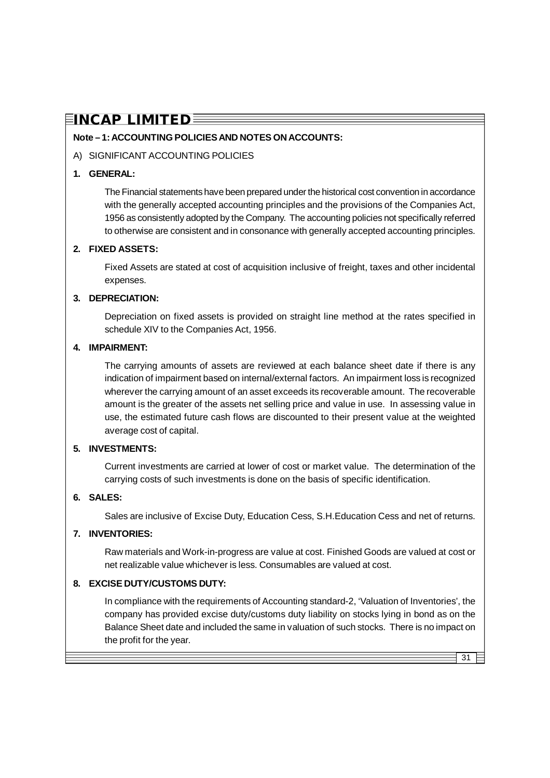#### **Note – 1:ACCOUNTING POLICIESAND NOTES ONACCOUNTS:**

#### A) SIGNIFICANT ACCOUNTING POLICIES

#### **1. GENERAL:**

The Financial statements have been prepared under the historical cost convention in accordance with the generally accepted accounting principles and the provisions of the Companies Act, 1956 as consistently adopted by the Company. The accounting policies not specifically referred to otherwise are consistent and in consonance with generally accepted accounting principles.

### **2. FIXED ASSETS:**

Fixed Assets are stated at cost of acquisition inclusive of freight, taxes and other incidental expenses.

### **3. DEPRECIATION:**

Depreciation on fixed assets is provided on straight line method at the rates specified in schedule XIV to the Companies Act, 1956.

#### **4. IMPAIRMENT:**

The carrying amounts of assets are reviewed at each balance sheet date if there is any indication of impairment based on internal/external factors. An impairment loss is recognized wherever the carrying amount of an asset exceeds its recoverable amount. The recoverable amount is the greater of the assets net selling price and value in use. In assessing value in use, the estimated future cash flows are discounted to their present value at the weighted average cost of capital.

#### **5. INVESTMENTS:**

Current investments are carried at lower of cost or market value. The determination of the carrying costs of such investments is done on the basis of specific identification.

### **6. SALES:**

Sales are inclusive of Excise Duty, Education Cess, S.H.Education Cess and net of returns.

### **7. INVENTORIES:**

Raw materials and Work-in-progress are value at cost. Finished Goods are valued at cost or net realizable value whichever is less. Consumables are valued at cost.

#### **8. EXCISE DUTY/CUSTOMS DUTY:**

In compliance with the requirements of Accounting standard-2, 'Valuation of Inventories', the company has provided excise duty/customs duty liability on stocks lying in bond as on the Balance Sheet date and included the same in valuation of such stocks. There is no impact on the profit for the year.

 $31 \equiv$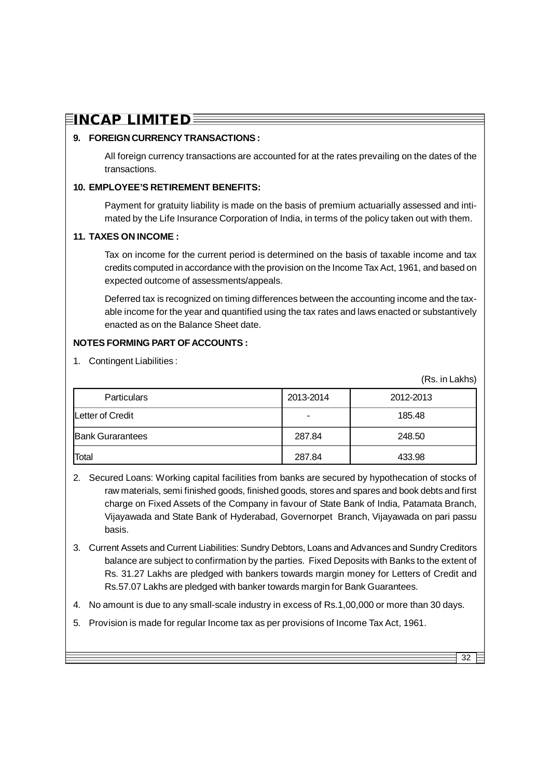#### **9. FOREIGN CURRENCYTRANSACTIONS:**

All foreign currency transactions are accounted for at the rates prevailing on the dates of the transactions.

#### **10. EMPLOYEE'S RETIREMENT BENEFITS:**

Payment for gratuity liability is made on the basis of premium actuarially assessed and intimated by the Life Insurance Corporation of India, in terms of the policy taken out with them.

#### **11. TAXES ON INCOME :**

Tax on income for the current period is determined on the basis of taxable income and tax credits computed in accordance with the provision on the Income Tax Act, 1961, and based on expected outcome of assessments/appeals.

Deferred tax is recognized on timing differences between the accounting income and the taxable income for the year and quantified using the tax rates and laws enacted or substantively enacted as on the Balance Sheet date.

#### **NOTES FORMING PART OF ACCOUNTS :**

1. Contingent Liabilities :

(Rs. in Lakhs)

| <b>Particulars</b>      | 2013-2014 | 2012-2013 |
|-------------------------|-----------|-----------|
| Letter of Credit        | ۰         | 185.48    |
| <b>Bank Gurarantees</b> | 287.84    | 248.50    |
| Total                   | 287.84    | 433.98    |

- 2. Secured Loans: Working capital facilities from banks are secured by hypothecation of stocks of raw materials, semi finished goods, finished goods, stores and spares and book debts and first charge on Fixed Assets of the Company in favour of State Bank of India, Patamata Branch, Vijayawada and State Bank of Hyderabad, Governorpet Branch, Vijayawada on pari passu basis.
- 3. Current Assets and Current Liabilities: Sundry Debtors, Loans and Advances and Sundry Creditors balance are subject to confirmation by the parties. Fixed Deposits with Banks to the extent of Rs. 31.27 Lakhs are pledged with bankers towards margin money for Letters of Credit and Rs.57.07 Lakhs are pledged with banker towards margin for Bank Guarantees.
- 4. No amount is due to any small-scale industry in excess of Rs.1,00,000 or more than 30 days.
- 5. Provision is made for regular Income tax as per provisions of Income Tax Act, 1961.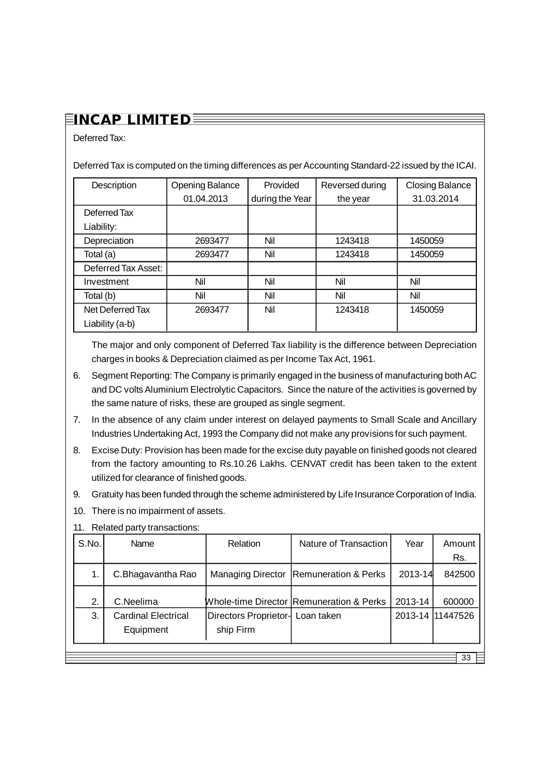DeferredTax:

Deferred Tax is computed on the timing differences as per Accounting Standard-22 issued by the ICAI.

| Description         | <b>Opening Balance</b> | Provided        | Reversed during | <b>Closing Balance</b> |
|---------------------|------------------------|-----------------|-----------------|------------------------|
|                     | 01.04.2013             | during the Year | the year        | 31.03.2014             |
| Deferred Tax        |                        |                 |                 |                        |
| Liability:          |                        |                 |                 |                        |
| Depreciation        | 2693477                | Nil             | 1243418         | 1450059                |
| Total (a)           | 2693477                | Nil             | 1243418         | 1450059                |
| Deferred Tax Asset: |                        |                 |                 |                        |
| Investment          | Nil                    | Nil             | Nil             | Nil                    |
| Total (b)           | Nil                    | Nil             | Nil             | Nil                    |
| Net Deferred Tax    | 2693477                | Nil             | 1243418         | 1450059                |
| Liability (a-b)     |                        |                 |                 |                        |

The major and only component of Deferred Tax liability is the difference between Depreciation charges in books & Depreciation claimed as per Income Tax Act, 1961.

- 6. Segment Reporting: The Company is primarily engaged in the business of manufacturing bothAC and DC volts Aluminium Electrolytic Capacitors. Since the nature of the activities is governed by the same nature of risks, these are grouped as single segment.
- 7. In the absence of any claim under interest on delayed payments to Small Scale and Ancillary Industries UndertakingAct, 1993 the Company did not make any provisions for such payment.
- 8. Excise Duty: Provision has been made for the excise duty payable on finished goods not cleared from the factory amounting to Rs.10.26 Lakhs. CENVAT credit has been taken to the extent utilized for clearance of finished goods.
- 9. Gratuity has been funded through the scheme administered by Life Insurance Corporation of India.
- 10. There is no impairment of assets.

|  | 11. Related party transactions: |
|--|---------------------------------|
|--|---------------------------------|

| S.No. | Name                                    | Relation                           | Nature of Transaction                      | Year    | Amount           |
|-------|-----------------------------------------|------------------------------------|--------------------------------------------|---------|------------------|
|       |                                         |                                    |                                            |         | Rs.              |
| 1.    | C.Bhagavantha Rao                       |                                    | Managing Director Remuneration & Perks     | 2013-14 | 842500           |
| 2.    | C.Neelima                               |                                    | Whole-time Director   Remuneration & Perks | 2013-14 | 600000           |
| 3.    | <b>Cardinal Electrical</b><br>Equipment | Directors Proprietor-<br>ship Firm | Loan taken                                 |         | 2013-14 11447526 |
|       |                                         |                                    |                                            |         |                  |
|       |                                         |                                    |                                            |         | 33               |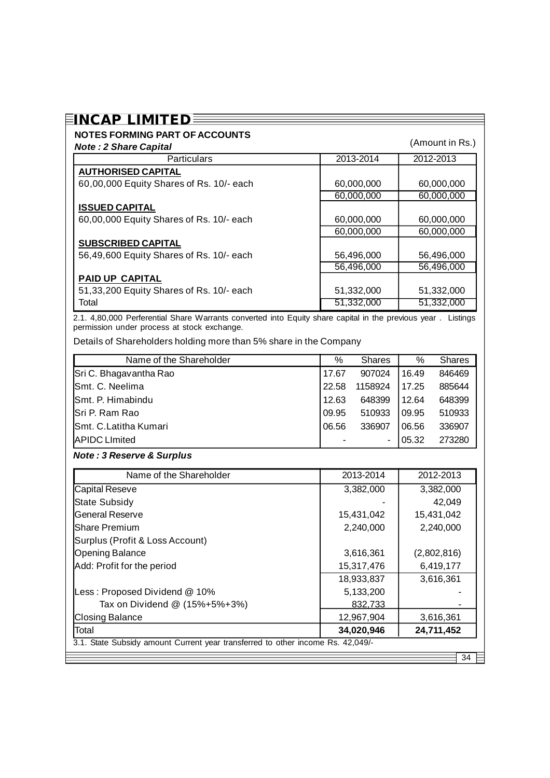| INCAP LIMITED                                                                                                                                                                                                                    |                    |                       |
|----------------------------------------------------------------------------------------------------------------------------------------------------------------------------------------------------------------------------------|--------------------|-----------------------|
| <b>NOTES FORMING PART OF ACCOUNTS</b>                                                                                                                                                                                            |                    |                       |
| <b>Note: 2 Share Capital</b>                                                                                                                                                                                                     |                    | (Amount in Rs.)       |
| <b>Particulars</b>                                                                                                                                                                                                               | 2013-2014          | 2012-2013             |
| <b>AUTHORISED CAPITAL</b>                                                                                                                                                                                                        |                    |                       |
| 60,00,000 Equity Shares of Rs. 10/- each                                                                                                                                                                                         | 60,000,000         | 60,000,000            |
|                                                                                                                                                                                                                                  | 60,000,000         | 60,000,000            |
| <b>ISSUED CAPITAL</b>                                                                                                                                                                                                            |                    |                       |
| 60,00,000 Equity Shares of Rs. 10/- each                                                                                                                                                                                         | 60,000,000         | 60,000,000            |
|                                                                                                                                                                                                                                  | 60,000,000         | 60,000,000            |
| <b>SUBSCRIBED CAPITAL</b>                                                                                                                                                                                                        |                    |                       |
| 56,49,600 Equity Shares of Rs. 10/- each                                                                                                                                                                                         | 56,496,000         | 56,496,000            |
|                                                                                                                                                                                                                                  | 56,496,000         | 56,496,000            |
| <b>PAID UP CAPITAL</b>                                                                                                                                                                                                           |                    |                       |
| 51,33,200 Equity Shares of Rs. 10/- each                                                                                                                                                                                         | 51,332,000         | 51,332,000            |
| Total                                                                                                                                                                                                                            | 51,332,000         | 51,332,000            |
| 2.1. 4,80,000 Perferential Share Warrants converted into Equity share capital in the previous year. Listings<br>permission under process at stock exchange.<br>Details of Shareholders holding more than 5% share in the Company |                    |                       |
| Name of the Shareholder                                                                                                                                                                                                          | %<br><b>Shares</b> | $\%$<br><b>Shares</b> |
| Sri C. Bhagavantha Rao                                                                                                                                                                                                           | 17.67<br>907024    | 16.49<br>846469       |
| Smt. C. Neelima                                                                                                                                                                                                                  | 22.58<br>1158924   | 17.25<br>885644       |
| Smt. P. Himabindu                                                                                                                                                                                                                | 12.63<br>648399    | 12.64<br>648399       |
| Sri P. Ram Rao                                                                                                                                                                                                                   | 09.95<br>510933    | 09.95<br>510933       |
| Smt. C.Latitha Kumari                                                                                                                                                                                                            | 06.56<br>336907    | 06.56<br>336907       |
| <b>APIDC LImited</b>                                                                                                                                                                                                             |                    | 05.32<br>273280       |
| <b>Note: 3 Reserve &amp; Surplus</b>                                                                                                                                                                                             |                    |                       |
| Name of the Shareholder                                                                                                                                                                                                          | 2013-2014          | 2012-2013             |
| Capital Reseve                                                                                                                                                                                                                   | 3,382,000          | 3,382,000             |
| <b>State Subsidy</b>                                                                                                                                                                                                             |                    | 42,049                |
| General Reserve                                                                                                                                                                                                                  | 15,431,042         | 15,431,042            |
| <b>Share Premium</b>                                                                                                                                                                                                             | 2,240,000          | 2,240,000             |
| Surplus (Profit & Loss Account)                                                                                                                                                                                                  |                    |                       |
| Opening Balance                                                                                                                                                                                                                  | 3,616,361          | (2,802,816)           |
| Add: Profit for the period                                                                                                                                                                                                       | 15,317,476         | 6,419,177             |
|                                                                                                                                                                                                                                  | 18,933,837         | 3,616,361             |
| Less: Proposed Dividend @ 10%                                                                                                                                                                                                    | 5,133,200          |                       |

Closing Balance 12,967,904 3,616,361<br>
Total 34,020,946 24,711,452 Total **34,020,946 24,711,452** 3.1. State Subsidy amount Current year transferred to other income Rs. 42,049/-

Tax on Dividend @ (15%+5%+3%) 832,733

 $34 \equiv$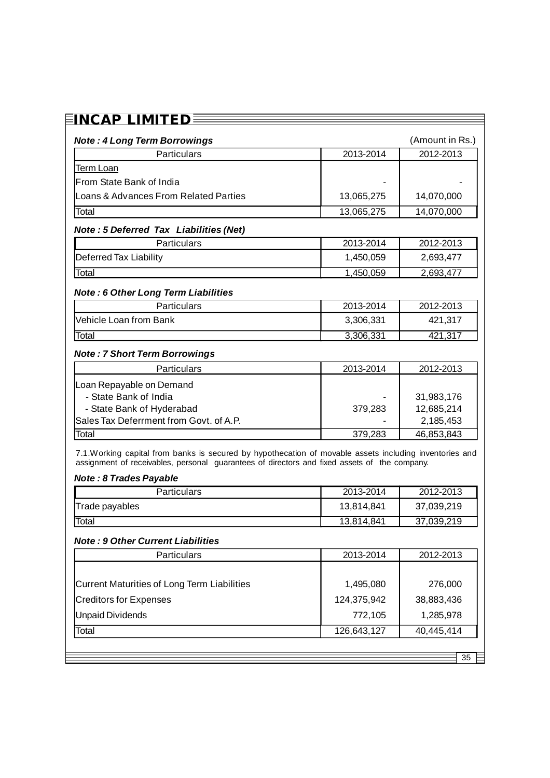| EINCAP LIMITED                                                                                                                                                                                          |            |                 |
|---------------------------------------------------------------------------------------------------------------------------------------------------------------------------------------------------------|------------|-----------------|
|                                                                                                                                                                                                         |            |                 |
| <b>Note: 4 Long Term Borrowings</b>                                                                                                                                                                     |            | (Amount in Rs.) |
| <b>Particulars</b>                                                                                                                                                                                      | 2013-2014  | 2012-2013       |
| Term Loan                                                                                                                                                                                               |            |                 |
| From State Bank of India                                                                                                                                                                                |            |                 |
| Loans & Advances From Related Parties                                                                                                                                                                   | 13,065,275 | 14,070,000      |
| Total                                                                                                                                                                                                   | 13,065,275 | 14,070,000      |
| <b>Note: 5 Deferred Tax Liabilities (Net)</b>                                                                                                                                                           |            |                 |
| <b>Particulars</b>                                                                                                                                                                                      | 2013-2014  | 2012-2013       |
| Deferred Tax Liability                                                                                                                                                                                  | 1,450,059  | 2,693,477       |
| Total                                                                                                                                                                                                   | 1,450,059  | 2,693,477       |
| <b>Note: 6 Other Long Term Liabilities</b>                                                                                                                                                              |            |                 |
| Particulars                                                                                                                                                                                             | 2013-2014  | 2012-2013       |
| Vehicle Loan from Bank                                                                                                                                                                                  | 3,306,331  | 421,317         |
| Total                                                                                                                                                                                                   | 3,306,331  | 421,317         |
| <b>Note: 7 Short Term Borrowings</b>                                                                                                                                                                    |            |                 |
| Particulars                                                                                                                                                                                             | 2013-2014  | 2012-2013       |
| Loan Repayable on Demand                                                                                                                                                                                |            |                 |
| - State Bank of India                                                                                                                                                                                   |            | 31,983,176      |
| - State Bank of Hyderabad                                                                                                                                                                               | 379,283    | 12,685,214      |
| Sales Tax Deferrment from Govt. of A.P.                                                                                                                                                                 |            | 2,185,453       |
| Total                                                                                                                                                                                                   | 379,283    | 46,853,843      |
| 7.1. Working capital from banks is secured by hypothecation of movable assets including inventories and<br>assignment of receivables, personal guarantees of directors and fixed assets of the company. |            |                 |
| <b>Note: 8 Trades Payable</b>                                                                                                                                                                           |            |                 |
| <b>Particulars</b>                                                                                                                                                                                      | 2013-2014  | 2012-2013       |
|                                                                                                                                                                                                         | ,,,,,,,,,  | 07.000.010      |

| Trade payables | 13,814,841 | 37,039,219 |
|----------------|------------|------------|
| Total          | 13,814,841 | 37,039,219 |
|                |            |            |

### *Note : 9 Other Current Liabilities*

| Particulars                                 | 2013-2014   | 2012-2013  |
|---------------------------------------------|-------------|------------|
|                                             |             |            |
| Current Maturities of Long Term Liabilities | 1,495,080   | 276,000    |
| Creditors for Expenses                      | 124,375,942 | 38,883,436 |
| Unpaid Dividends                            | 772,105     | 1,285,978  |
| Total                                       | 126,643,127 | 40,445,414 |
|                                             |             |            |
|                                             |             | 35         |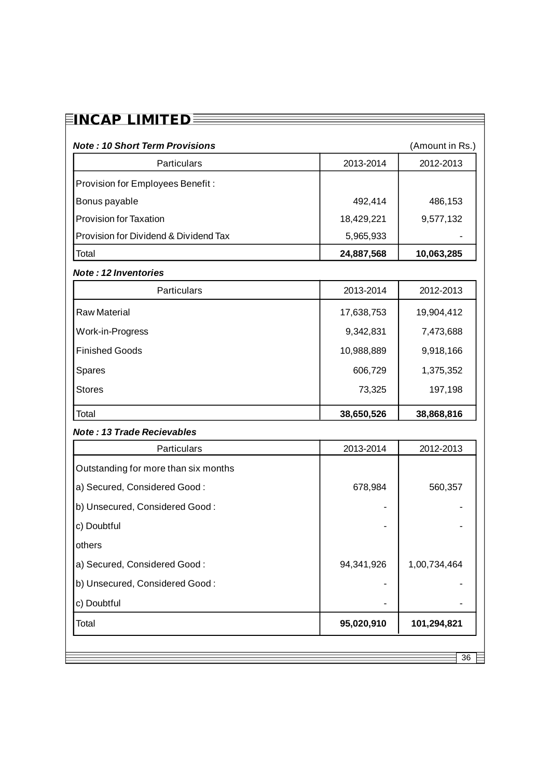| <b>Note: 10 Short Term Provisions</b> |            | (Amount in Rs.) |
|---------------------------------------|------------|-----------------|
| Particulars                           | 2013-2014  | 2012-2013       |
| Provision for Employees Benefit:      |            |                 |
| Bonus payable                         | 492,414    | 486,153         |
| <b>Provision for Taxation</b>         | 18,429,221 | 9,577,132       |
| Provision for Dividend & Dividend Tax | 5,965,933  |                 |
| Total                                 | 24,887,568 | 10,063,285      |
| <b>Note: 12 Inventories</b>           |            |                 |
| Particulars                           | 2013-2014  | 2012-2013       |
| <b>Raw Material</b>                   | 17,638,753 | 19,904,412      |
| Work-in-Progress                      | 9,342,831  | 7,473,688       |
| <b>Finished Goods</b>                 | 10,988,889 | 9,918,166       |
| Spares                                | 606,729    | 1,375,352       |
| <b>Stores</b>                         | 73,325     | 197,198         |
| Total                                 | 38,650,526 | 38,868,816      |
| <b>Note: 13 Trade Recievables</b>     |            |                 |
| Particulars                           | 2013-2014  | 2012-2013       |
| Outstanding for more than six months  |            |                 |
| a) Secured, Considered Good:          | 678,984    | 560,357         |
| b) Unsecured, Considered Good:        |            |                 |
| c) Doubtful                           |            |                 |
| others                                |            |                 |
| a) Secured, Considered Good:          | 94,341,926 | 1,00,734,464    |
| b) Unsecured, Considered Good:        |            |                 |
| c) Doubtful                           |            |                 |
| Total                                 | 95,020,910 | 101,294,821     |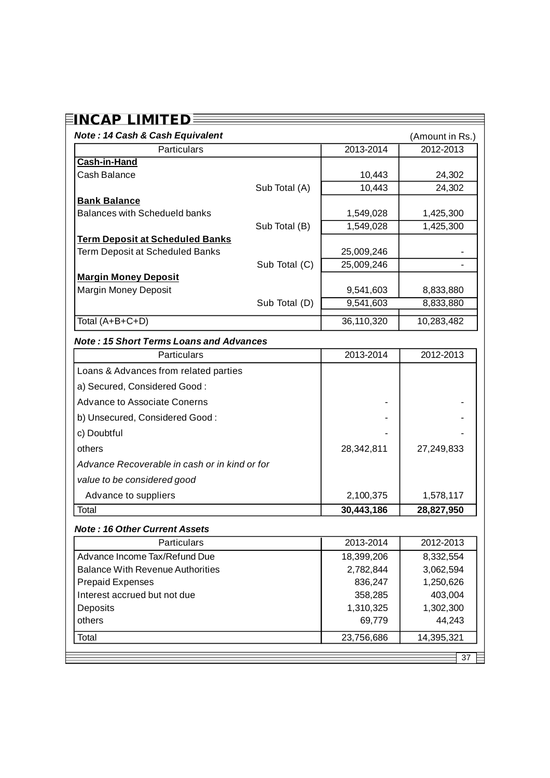| INCAP LIMITED                                                             |               |            |            |  |
|---------------------------------------------------------------------------|---------------|------------|------------|--|
| Note: 14 Cash & Cash Equivalent<br>(Amount in Rs.)                        |               |            |            |  |
| Particulars                                                               |               | 2013-2014  | 2012-2013  |  |
| Cash-in-Hand                                                              |               |            |            |  |
| Cash Balance                                                              |               | 10,443     | 24,302     |  |
|                                                                           | Sub Total (A) | 10,443     | 24,302     |  |
| <b>Bank Balance</b>                                                       |               |            |            |  |
| <b>Balances with Schedueld banks</b>                                      |               | 1,549,028  | 1,425,300  |  |
|                                                                           | Sub Total (B) | 1,549,028  | 1,425,300  |  |
| <b>Term Deposit at Scheduled Banks</b><br>Term Deposit at Scheduled Banks |               | 25,009,246 |            |  |
|                                                                           | Sub Total (C) | 25,009,246 |            |  |
| <b>Margin Money Deposit</b>                                               |               |            |            |  |
| <b>Margin Money Deposit</b>                                               |               | 9,541,603  | 8,833,880  |  |
|                                                                           | Sub Total (D) | 9,541,603  | 8,833,880  |  |
| Total (A+B+C+D)                                                           |               | 36,110,320 | 10,283,482 |  |
| <b>Note: 15 Short Terms Loans and Advances</b>                            |               |            |            |  |
| <b>Particulars</b>                                                        |               | 2013-2014  | 2012-2013  |  |
| Loans & Advances from related parties                                     |               |            |            |  |
| a) Secured, Considered Good:                                              |               |            |            |  |
| <b>Advance to Associate Conerns</b>                                       |               |            |            |  |
| b) Unsecured, Considered Good:                                            |               |            |            |  |
| c) Doubtful                                                               |               |            |            |  |
| others                                                                    |               | 28,342,811 | 27,249,833 |  |
| Advance Recoverable in cash or in kind or for                             |               |            |            |  |
| value to be considered good                                               |               |            |            |  |
| Advance to suppliers                                                      |               | 2,100,375  | 1,578,117  |  |
| Total                                                                     |               | 30,443,186 | 28,827,950 |  |
| <b>Note: 16 Other Current Assets</b>                                      |               |            |            |  |
| Particulars                                                               |               | 2013-2014  | 2012-2013  |  |
| Advance Income Tax/Refund Due                                             |               | 18,399,206 | 8,332,554  |  |
| <b>Balance With Revenue Authorities</b>                                   |               | 2,782,844  | 3,062,594  |  |
| <b>Prepaid Expenses</b>                                                   |               | 836,247    | 1,250,626  |  |
| Interest accrued but not due                                              |               | 358,285    | 403,004    |  |
| Deposits                                                                  |               | 1,310,325  | 1,302,300  |  |
| others                                                                    |               | 69,779     | 44,243     |  |
| Total                                                                     |               | 23,756,686 | 14,395,321 |  |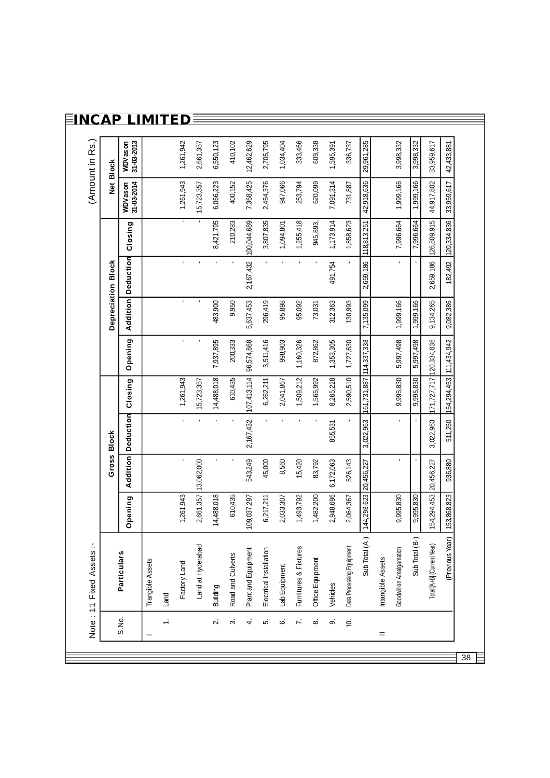|                   |                            |                       |                      | Gross Block |                         |                |           | Depreciation Block |             |                         | Net Block               |
|-------------------|----------------------------|-----------------------|----------------------|-------------|-------------------------|----------------|-----------|--------------------|-------------|-------------------------|-------------------------|
| S.No.             | Particulars                | Opening               | Addition             | Deduction   | Closing                 | Opening        |           | Addition Deduction | Closing     | WDV as on<br>31-03-2014 | 31-03-2013<br>WDV as on |
|                   | Trangible Assets           |                       |                      |             |                         |                |           |                    |             |                         |                         |
| $\div$            | Land                       |                       |                      |             |                         |                |           |                    |             |                         |                         |
|                   | Factory Land               | 1,261,943             |                      |             | 1,261,943               | $\blacksquare$ |           | ¥.                 |             | 1,261,943               | 1,261,942               |
|                   | Land at Hyderabad          |                       | 2,661,357 13,062,000 |             | 15,723,357              |                |           | $\blacksquare$     |             | 15,723,357              | 2,661,357               |
| $\sim$            | Building                   | 14,488,018            | $\blacksquare$       |             | 14,488,018              | 7,937,895      | 483,900   | $\mathbf{r}$       | 8,421,795   | 6,066,223               | 6,550,123               |
| က်                | Road and Culverts          | 610,435               |                      |             | 610,435                 | 200,333        | 9,950     | $\mathbf{r}$       | 210,283     | 400,152                 | 410,102                 |
| $\vec{r}$         | Plant and Equipment        | 09,037,297            | 543,249              | 2,167,432   | 107,413,114             | 96,574,668     | 5,637,453 | 2,167,432          | 100,044,689 | 7,368,425               | 12,462,629              |
| 5.                | Electrical Installation    | 6,217,211             | 45,000               |             | 6,262,211               | 3,511,416      | 296,419   | $\mathbf{r}$       | 3,807,835   | 2,454,376               | 2,705,795               |
| $\dot{\circ}$     | Lab Equipment              | 2,033,307             | 8,560                |             | 2,041,867               | 998,903        | 95,898    | $\mathbf{r}$       | 1,094,801   | 947,066                 | 1,034,404               |
| $\ddot{\sim}$     | Furnitures & Fixtures      | 1,493,792             | 15,420               |             | 1,509,212               | 1,160,326      | 95,092    | $\blacksquare$     | 1,255,418   | 253,794                 | 333,466                 |
| $\rm \infty$      | Office Equipment           | 1,482,200             | 83,792               |             | 1,565,992               | 872,862        | 73,031    | $\mathbf{r}$       | 945,893,    | 620,099                 | 609,338                 |
| တ                 | Vehicles                   | 2,948,696             | 6,172,063            | 855,531     | 8,265,228               | 1,353,305      | 312,363   | 491,754            | 1,173,914   | 7,091,314               | 1,595,391               |
| Ó.                | Data Processing Equipment  | 2,064,367             | 526,143              |             | 2,590,510               | 1,727,630      | 130,993   | $\blacksquare$     | 1,858,623   | 731,887                 | 336,737                 |
|                   | Sub Total (A-)             | 44,298,623            | 20,456,227           | 3,022,963   | 161,731,887             | 114,337,338    | 7,135,099 | 2,659,186          | 118,813,251 | 42,918,636              | 29,961,285              |
| $\qquad \qquad =$ | Intangible Assets          |                       |                      |             |                         |                |           |                    |             |                         |                         |
|                   | Goodwill on Amalgamation   | 9,995,830             |                      |             | 9,995,830               | 5,997,498      | 1,999,166 | ï                  | 7,996,664   | 1,999,166               | 3,998,332               |
|                   | Sub Total (B-)             | 9,995,830             |                      |             | 9,995,830               | 5,997,498      | 1,999,166 |                    | 7,996,664   | 1,999,166               | 3,998,332               |
|                   | Total [A+B] (Current Year) | 54,294,453 20,456,227 |                      | 3,022,963   | 171,727,717 120,334,836 |                | 9,134,265 | 2,659,186          | 126,809,915 | 44,917,802              | 33,959,617              |
|                   | (Previous Year)            | 53,868,823            | 936,880              | 511,250     | 154,294,453 111,434,942 |                | 9,082,386 | 182,492            | 120,334,836 | 33,959,617              | 42,433,881              |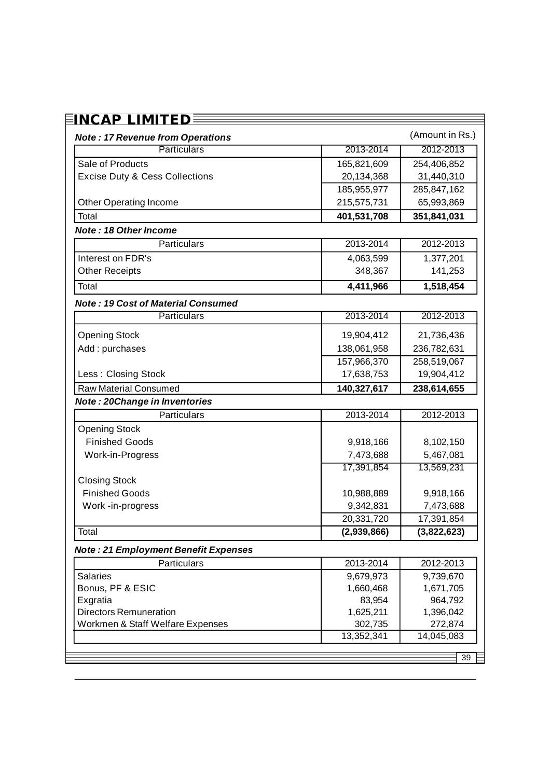| EINCAP LIMITED:                                          |             |                 |
|----------------------------------------------------------|-------------|-----------------|
| <b>Note: 17 Revenue from Operations</b>                  |             | (Amount in Rs.) |
| <b>Particulars</b>                                       | 2013-2014   | 2012-2013       |
| Sale of Products                                         | 165,821,609 | 254,406,852     |
| <b>Excise Duty &amp; Cess Collections</b>                | 20,134,368  | 31,440,310      |
|                                                          | 185,955,977 | 285,847,162     |
| Other Operating Income                                   | 215,575,731 | 65,993,869      |
| <b>Total</b>                                             | 401,531,708 | 351,841,031     |
| <b>Note: 18 Other Income</b>                             |             |                 |
| Particulars                                              | 2013-2014   | 2012-2013       |
| Interest on FDR's                                        | 4,063,599   | 1,377,201       |
| <b>Other Receipts</b>                                    | 348,367     | 141,253         |
| Total                                                    | 4,411,966   | 1,518,454       |
|                                                          |             |                 |
| <b>Note: 19 Cost of Material Consumed</b><br>Particulars | 2013-2014   | 2012-2013       |
|                                                          |             |                 |
| <b>Opening Stock</b>                                     | 19,904,412  | 21,736,436      |
| Add: purchases                                           | 138,061,958 | 236,782,631     |
|                                                          | 157,966,370 | 258,519,067     |
| Less: Closing Stock                                      | 17,638,753  | 19,904,412      |
| <b>Raw Material Consumed</b>                             | 140,327,617 | 238,614,655     |
| Note: 20Change in Inventories                            |             |                 |
| Particulars                                              | 2013-2014   | 2012-2013       |
| <b>Opening Stock</b>                                     |             |                 |
| <b>Finished Goods</b>                                    | 9,918,166   | 8,102,150       |
| Work-in-Progress                                         | 7,473,688   | 5,467,081       |
|                                                          | 17,391,854  | 13,569,231      |
| <b>Closing Stock</b>                                     |             |                 |
| <b>Finished Goods</b>                                    | 10,988,889  | 9,918,166       |
| Work -in-progress                                        | 9,342,831   | 7,473,688       |
|                                                          | 20,331,720  | 17,391,854      |
| Total                                                    | (2,939,866) | (3,822,623)     |
| <b>Note: 21 Employment Benefit Expenses</b>              |             |                 |
| Particulars                                              | 2013-2014   | 2012-2013       |
| <b>Salaries</b>                                          | 9,679,973   | 9,739,670       |
| Bonus, PF & ESIC                                         | 1,660,468   | 1,671,705       |
| Exgratia                                                 | 83,954      | 964,792         |
| <b>Directors Remuneration</b>                            | 1,625,211   | 1,396,042       |
| Workmen & Staff Welfare Expenses                         | 302,735     | 272,874         |
|                                                          | 13,352,341  | 14,045,083      |
|                                                          |             |                 |
|                                                          |             | 39              |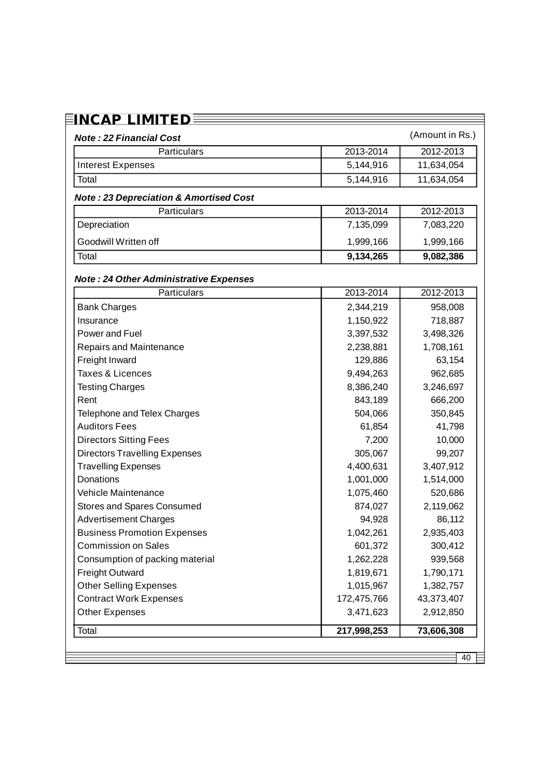| <b>Note: 22 Financial Cost</b>                    |             | (Amount in Rs.) |
|---------------------------------------------------|-------------|-----------------|
| Particulars                                       | 2013-2014   | 2012-2013       |
| <b>Interest Expenses</b>                          | 5,144,916   | 11,634,054      |
| <b>Total</b>                                      | 5,144,916   | 11,634,054      |
| <b>Note: 23 Depreciation &amp; Amortised Cost</b> |             |                 |
| Particulars                                       | 2013-2014   | 2012-2013       |
| Depreciation                                      | 7,135,099   | 7,083,220       |
| Goodwill Written off                              | 1,999,166   | 1,999,166       |
| Total                                             | 9,134,265   | 9,082,386       |
| <b>Note: 24 Other Administrative Expenses</b>     |             |                 |
| Particulars                                       | 2013-2014   | 2012-2013       |
| <b>Bank Charges</b>                               | 2,344,219   | 958,008         |
| Insurance                                         | 1,150,922   | 718,887         |
| Power and Fuel                                    | 3,397,532   | 3,498,326       |
| <b>Repairs and Maintenance</b>                    | 2,238,881   | 1,708,161       |
| Freight Inward                                    | 129,886     | 63,154          |
| Taxes & Licences                                  | 9,494,263   | 962,685         |
| <b>Testing Charges</b>                            | 8,386,240   | 3,246,697       |
| Rent                                              | 843,189     | 666,200         |
| Telephone and Telex Charges                       | 504,066     | 350,845         |
| <b>Auditors Fees</b>                              | 61,854      | 41,798          |
| <b>Directors Sitting Fees</b>                     | 7,200       | 10,000          |
| <b>Directors Travelling Expenses</b>              | 305,067     | 99,207          |
| <b>Travelling Expenses</b>                        | 4,400,631   | 3,407,912       |
| Donations                                         | 1,001,000   | 1,514,000       |
| Vehicle Maintenance                               | 1,075,460   | 520,686         |
| <b>Stores and Spares Consumed</b>                 | 874,027     | 2,119,062       |
| <b>Advertisement Charges</b>                      | 94,928      | 86,112          |
| <b>Business Promotion Expenses</b>                | 1,042,261   | 2,935,403       |
| <b>Commission on Sales</b>                        | 601,372     | 300,412         |
| Consumption of packing material                   | 1,262,228   | 939,568         |
| <b>Freight Outward</b>                            | 1,819,671   | 1,790,171       |
| <b>Other Selling Expenses</b>                     | 1,015,967   | 1,382,757       |
| <b>Contract Work Expenses</b>                     | 172,475,766 | 43,373,407      |
| <b>Other Expenses</b>                             | 3,471,623   | 2,912,850       |
| Total                                             | 217,998,253 | 73,606,308      |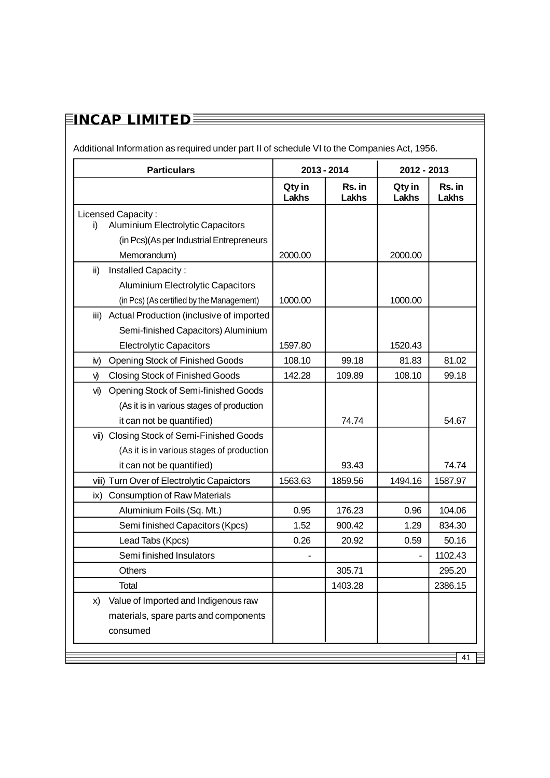Additional Information as required under part II of schedule VI to the Companies Act, 1956.

| <b>Particulars</b>                                                                                         | 2013 - 2014     |                 | 2012 - 2013     |                 |
|------------------------------------------------------------------------------------------------------------|-----------------|-----------------|-----------------|-----------------|
|                                                                                                            | Qty in<br>Lakhs | Rs. in<br>Lakhs | Qty in<br>Lakhs | Rs. in<br>Lakhs |
| Licensed Capacity:<br>Aluminium Electrolytic Capacitors<br>i)<br>(in Pcs) (As per Industrial Entrepreneurs |                 |                 |                 |                 |
| Memorandum)                                                                                                | 2000.00         |                 | 2000.00         |                 |
| Installed Capacity:<br>ii)                                                                                 |                 |                 |                 |                 |
| Aluminium Electrolytic Capacitors                                                                          |                 |                 |                 |                 |
| (in Pcs) (As certified by the Management)                                                                  | 1000.00         |                 | 1000.00         |                 |
| iii) Actual Production (inclusive of imported                                                              |                 |                 |                 |                 |
| Semi-finished Capacitors) Aluminium                                                                        |                 |                 |                 |                 |
| <b>Electrolytic Capacitors</b>                                                                             | 1597.80         |                 | 1520.43         |                 |
| Opening Stock of Finished Goods<br>iv)                                                                     | 108.10          | 99.18           | 81.83           | 81.02           |
| <b>Closing Stock of Finished Goods</b><br>V)                                                               | 142.28          | 109.89          | 108.10          | 99.18           |
| Opening Stock of Semi-finished Goods<br>vi)                                                                |                 |                 |                 |                 |
| (As it is in various stages of production                                                                  |                 |                 |                 |                 |
| it can not be quantified)                                                                                  |                 | 74.74           |                 | 54.67           |
| vii) Closing Stock of Semi-Finished Goods                                                                  |                 |                 |                 |                 |
| (As it is in various stages of production                                                                  |                 |                 |                 |                 |
| it can not be quantified)                                                                                  |                 | 93.43           |                 | 74.74           |
| viii) Turn Over of Electrolytic Capaictors                                                                 | 1563.63         | 1859.56         | 1494.16         | 1587.97         |
| <b>Consumption of Raw Materials</b><br>ix)                                                                 |                 |                 |                 |                 |
| Aluminium Foils (Sq. Mt.)                                                                                  | 0.95            | 176.23          | 0.96            | 104.06          |
| Semi finished Capacitors (Kpcs)                                                                            | 1.52            | 900.42          | 1.29            | 834.30          |
| Lead Tabs (Kpcs)                                                                                           | 0.26            | 20.92           | 0.59            | 50.16           |
| Semi finished Insulators                                                                                   |                 |                 |                 | 1102.43         |
| Others                                                                                                     |                 | 305.71          |                 | 295.20          |
| Total                                                                                                      |                 | 1403.28         |                 | 2386.15         |
| Value of Imported and Indigenous raw<br>X)                                                                 |                 |                 |                 |                 |
| materials, spare parts and components                                                                      |                 |                 |                 |                 |
| consumed                                                                                                   |                 |                 |                 |                 |
|                                                                                                            |                 |                 |                 | 41              |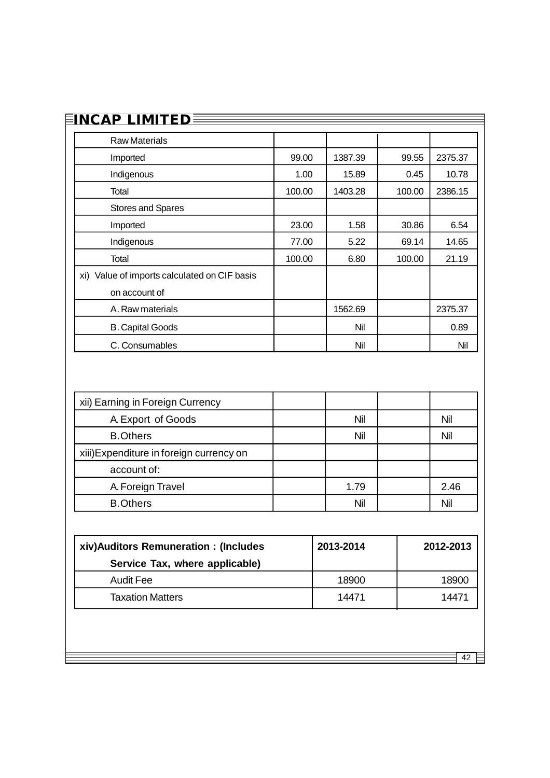| <b>Raw Materials</b>                                             |        |         |        |         |
|------------------------------------------------------------------|--------|---------|--------|---------|
| Imported                                                         | 99.00  | 1387.39 | 99.55  | 2375.37 |
| Indigenous                                                       | 1.00   | 15.89   | 0.45   | 10.78   |
| Total                                                            | 100.00 | 1403.28 | 100.00 | 2386.15 |
| <b>Stores and Spares</b>                                         |        |         |        |         |
| Imported                                                         | 23.00  | 1.58    | 30.86  | 6.54    |
| Indigenous                                                       | 77.00  | 5.22    | 69.14  | 14.65   |
| Total                                                            | 100.00 | 6.80    | 100.00 | 21.19   |
| Value of imports calculated on CIF basis<br>xi)<br>on account of |        |         |        |         |
| A. Raw materials                                                 |        | 1562.69 |        | 2375.37 |
| <b>B. Capital Goods</b>                                          |        | Nil     |        | 0.89    |
| C. Consumables                                                   |        | Nil     |        | Nil     |

| xii) Earning in Foreign Currency         |      |      |
|------------------------------------------|------|------|
| A. Export of Goods                       | Nil  | Nil  |
| <b>B.Others</b>                          | Nil  | Nil  |
| xiii) Expenditure in foreign currency on |      |      |
| account of:                              |      |      |
| A. Foreign Travel                        | 1.79 | 2.46 |
| <b>B.Others</b>                          | Nil  | Nil  |

| xiv) Auditors Remuneration: (Includes | 2013-2014 | 2012-2013 |
|---------------------------------------|-----------|-----------|
| Service Tax, where applicable)        |           |           |
| Audit Fee                             | 18900     | 18900     |
| <b>Taxation Matters</b>               | 14471     | 14471     |

 $42 \equiv$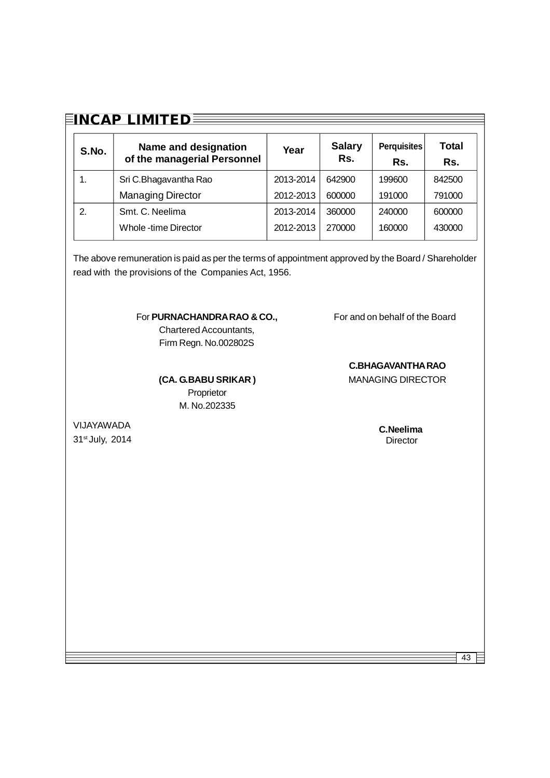| S.No.          | Name and designation<br>of the managerial Personnel | Year      | <b>Salary</b><br>Rs. | <b>Perquisites</b><br>Rs. | <b>Total</b><br>Rs. |
|----------------|-----------------------------------------------------|-----------|----------------------|---------------------------|---------------------|
| $\mathbf{1}$ . | Sri C.Bhagavantha Rao                               | 2013-2014 | 642900               | 199600                    | 842500              |
|                | <b>Managing Director</b>                            | 2012-2013 | 600000               | 191000                    | 791000              |
| 2.             | Smt. C. Neelima                                     | 2013-2014 | 360000               | 240000                    | 600000              |
|                | Whole -time Director                                | 2012-2013 | 270000               | 160000                    | 430000              |

The above remuneration is paid as per the terms of appointment approved by the Board / Shareholder read with the provisions of the Companies Act, 1956.

#### For **PURNACHANDRARAO & CO.,**

CharteredAccountants, Firm Regn. No.002802S

**(CA. G.BABU SRIKAR )** Proprietor M. No.202335

For and on behalf of the Board

**C.BHAGAVANTHARAO** MANAGING DIRECTOR

VIJAYAWADA 31 st July, 2014

**C.Neelima Director** 

 $43 \equiv$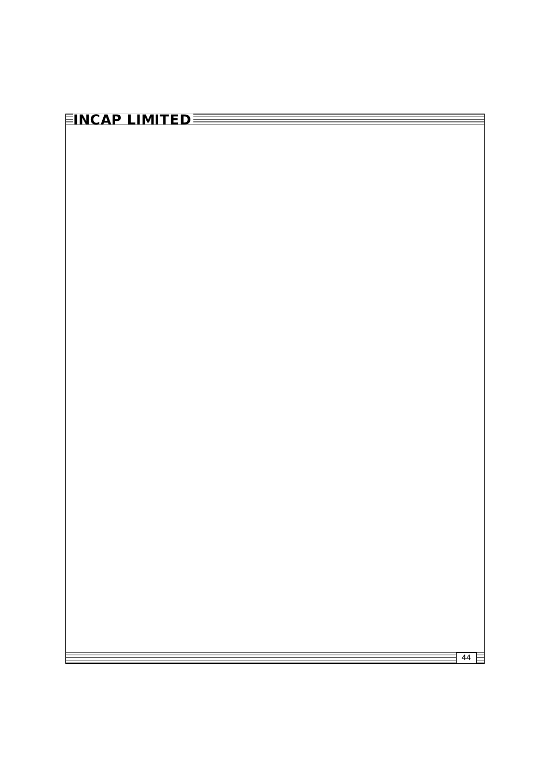|  | EINCAP LIMITED≡ |  |  |  |
|--|-----------------|--|--|--|
|  |                 |  |  |  |